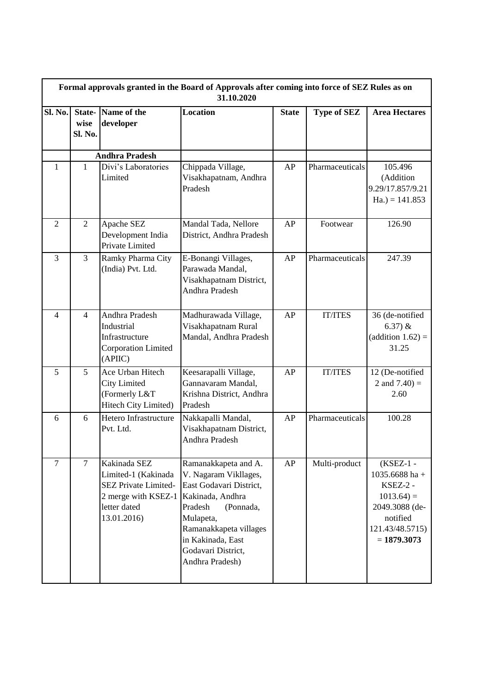|                | Formal approvals granted in the Board of Approvals after coming into force of SEZ Rules as on<br>31.10.2020 |                                                                                                                          |                                                                                                                                                                                                                           |              |                 |                                                                                                                            |  |  |
|----------------|-------------------------------------------------------------------------------------------------------------|--------------------------------------------------------------------------------------------------------------------------|---------------------------------------------------------------------------------------------------------------------------------------------------------------------------------------------------------------------------|--------------|-----------------|----------------------------------------------------------------------------------------------------------------------------|--|--|
| <b>Sl. No.</b> | wise<br>Sl. No.                                                                                             | State-Name of the<br>developer                                                                                           | <b>Location</b>                                                                                                                                                                                                           | <b>State</b> | Type of SEZ     | <b>Area Hectares</b>                                                                                                       |  |  |
|                |                                                                                                             | <b>Andhra Pradesh</b>                                                                                                    |                                                                                                                                                                                                                           |              |                 |                                                                                                                            |  |  |
| $\mathbf{1}$   | $\mathbf{1}$                                                                                                | Divi's Laboratories<br>Limited                                                                                           | Chippada Village,<br>Visakhapatnam, Andhra<br>Pradesh                                                                                                                                                                     | AP           | Pharmaceuticals | 105.496<br>(Addition<br>9.29/17.857/9.21<br>$Ha.$ ) = 141.853                                                              |  |  |
| $\overline{2}$ | $\overline{2}$                                                                                              | Apache SEZ<br>Development India<br>Private Limited                                                                       | Mandal Tada, Nellore<br>District, Andhra Pradesh                                                                                                                                                                          | AP           | Footwear        | 126.90                                                                                                                     |  |  |
| $\overline{3}$ | $\overline{3}$                                                                                              | Ramky Pharma City<br>(India) Pvt. Ltd.                                                                                   | E-Bonangi Villages,<br>Parawada Mandal,<br>Visakhapatnam District,<br>Andhra Pradesh                                                                                                                                      | AP           | Pharmaceuticals | 247.39                                                                                                                     |  |  |
| $\overline{4}$ | $\overline{4}$                                                                                              | Andhra Pradesh<br>Industrial<br>Infrastructure<br><b>Corporation Limited</b><br>(APIIC)                                  | Madhurawada Village,<br>Visakhapatnam Rural<br>Mandal, Andhra Pradesh                                                                                                                                                     | AP           | <b>IT/ITES</b>  | 36 (de-notified<br>6.37) &<br>$(addition 1.62) =$<br>31.25                                                                 |  |  |
| 5              | 5                                                                                                           | Ace Urban Hitech<br>City Limited<br>(Formerly L&T<br>Hitech City Limited)                                                | Keesarapalli Village,<br>Gannavaram Mandal,<br>Krishna District, Andhra<br>Pradesh                                                                                                                                        | AP           | <b>IT/ITES</b>  | 12 (De-notified<br>2 and $7.40$ =<br>2.60                                                                                  |  |  |
| 6              | 6                                                                                                           | Hetero Infrastructure<br>Pvt. Ltd.                                                                                       | Nakkapalli Mandal,<br>Visakhapatnam District,<br>Andhra Pradesh                                                                                                                                                           | AP           | Pharmaceuticals | 100.28                                                                                                                     |  |  |
| $\overline{7}$ | $\overline{7}$                                                                                              | Kakinada SEZ<br>Limited-1 (Kakinada<br><b>SEZ Private Limited-</b><br>2 merge with KSEZ-1<br>letter dated<br>13.01.2016) | Ramanakkapeta and A.<br>V. Nagaram Vikllages,<br>East Godavari District,<br>Kakinada, Andhra<br>Pradesh<br>(Ponnada,<br>Mulapeta,<br>Ramanakkapeta villages<br>in Kakinada, East<br>Godavari District,<br>Andhra Pradesh) | AP           | Multi-product   | $(KSEZ-1$ -<br>1035.6688 ha +<br>KSEZ-2 -<br>$1013.64$ =<br>2049.3088 (de-<br>notified<br>121.43/48.5715)<br>$= 1879.3073$ |  |  |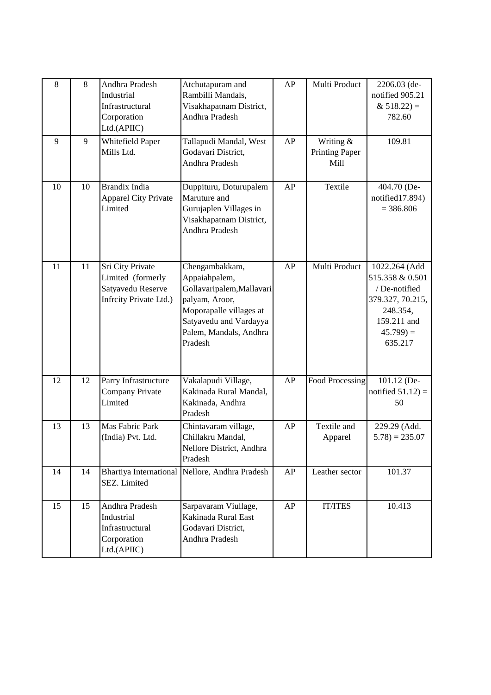| 8  | 8  | Andhra Pradesh<br>Industrial<br>Infrastructural<br>Corporation<br>Ltd.(APIIC)        | Atchutapuram and<br>Rambilli Mandals,<br>Visakhapatnam District,<br>Andhra Pradesh                                                                                       | AP | Multi Product                              | 2206.03 (de-<br>notified 905.21<br>$& 518.22 =$<br>782.60                                                                   |
|----|----|--------------------------------------------------------------------------------------|--------------------------------------------------------------------------------------------------------------------------------------------------------------------------|----|--------------------------------------------|-----------------------------------------------------------------------------------------------------------------------------|
| 9  | 9  | Whitefield Paper<br>Mills Ltd.                                                       | Tallapudi Mandal, West<br>Godavari District,<br>Andhra Pradesh                                                                                                           | AP | Writing &<br><b>Printing Paper</b><br>Mill | 109.81                                                                                                                      |
| 10 | 10 | <b>Brandix India</b><br><b>Apparel City Private</b><br>Limited                       | Duppituru, Doturupalem<br>Maruture and<br>Gurujaplen Villages in<br>Visakhapatnam District,<br>Andhra Pradesh                                                            | AP | Textile                                    | 404.70 (De-<br>notified17.894)<br>$= 386.806$                                                                               |
| 11 | 11 | Sri City Private<br>Limited (formerly<br>Satyavedu Reserve<br>Infrcity Private Ltd.) | Chengambakkam,<br>Appaiahpalem,<br>Gollavaripalem, Mallavari<br>palyam, Aroor,<br>Moporapalle villages at<br>Satyavedu and Vardayya<br>Palem, Mandals, Andhra<br>Pradesh | AP | Multi Product                              | 1022.264 (Add<br>515.358 & 0.501<br>/ De-notified<br>379.327, 70.215,<br>248.354,<br>159.211 and<br>$45.799$ ) =<br>635.217 |
| 12 | 12 | Parry Infrastructure<br><b>Company Private</b><br>Limited                            | Vakalapudi Village,<br>Kakinada Rural Mandal,<br>Kakinada, Andhra<br>Pradesh                                                                                             | AP | Food Processing                            | 101.12 (De-<br>notified $51.12$ ) =<br>50                                                                                   |
| 13 | 13 | Mas Fabric Park<br>(India) Pvt. Ltd.                                                 | Chintavaram village,<br>Chillakru Mandal,<br>Nellore District, Andhra<br>Pradesh                                                                                         | AP | Textile and<br>Apparel                     | 229.29 (Add.<br>$5.78 = 235.07$                                                                                             |
| 14 | 14 | <b>Bhartiya International</b><br>SEZ. Limited                                        | Nellore, Andhra Pradesh                                                                                                                                                  | AP | Leather sector                             | 101.37                                                                                                                      |
| 15 | 15 | Andhra Pradesh<br>Industrial<br>Infrastructural<br>Corporation<br>Ltd.(APIIC)        | Sarpavaram Viullage,<br>Kakinada Rural East<br>Godavari District,<br>Andhra Pradesh                                                                                      | AP | <b>IT/ITES</b>                             | 10.413                                                                                                                      |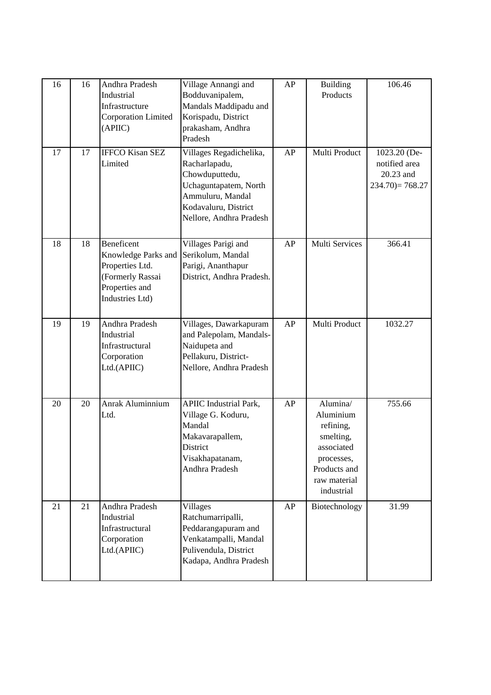| 16 | 16 | Andhra Pradesh<br>Industrial<br>Infrastructure<br><b>Corporation Limited</b><br>(APIIC)                       | Village Annangi and<br>Bodduvanipalem,<br>Mandals Maddipadu and<br>Korispadu, District<br>prakasham, Andhra<br>Pradesh                                     | AP | <b>Building</b><br>Products                                                                                               | 106.46                                                          |
|----|----|---------------------------------------------------------------------------------------------------------------|------------------------------------------------------------------------------------------------------------------------------------------------------------|----|---------------------------------------------------------------------------------------------------------------------------|-----------------------------------------------------------------|
| 17 | 17 | <b>IFFCO Kisan SEZ</b><br>Limited                                                                             | Villages Regadichelika,<br>Racharlapadu,<br>Chowduputtedu,<br>Uchaguntapatem, North<br>Ammuluru, Mandal<br>Kodavaluru, District<br>Nellore, Andhra Pradesh | AP | Multi Product                                                                                                             | 1023.20 (De-<br>notified area<br>20.23 and<br>$234.70 = 768.27$ |
| 18 | 18 | Beneficent<br>Knowledge Parks and<br>Properties Ltd.<br>(Formerly Rassai<br>Properties and<br>Industries Ltd) | Villages Parigi and<br>Serikolum, Mandal<br>Parigi, Ananthapur<br>District, Andhra Pradesh.                                                                | AP | Multi Services                                                                                                            | 366.41                                                          |
| 19 | 19 | Andhra Pradesh<br>Industrial<br>Infrastructural<br>Corporation<br>Ltd.(APIIC)                                 | Villages, Dawarkapuram<br>and Palepolam, Mandals-<br>Naidupeta and<br>Pellakuru, District-<br>Nellore, Andhra Pradesh                                      | AP | Multi Product                                                                                                             | 1032.27                                                         |
| 20 | 20 | <b>Anrak Aluminnium</b><br>Ltd.                                                                               | <b>APIIC</b> Industrial Park,<br>Village G. Koduru,<br>Mandal<br>Makavarapallem,<br>District<br>Visakhapatanam,<br>Andhra Pradesh                          | AP | Alumina/<br>Aluminium<br>refining,<br>smelting,<br>associated<br>processes,<br>Products and<br>raw material<br>industrial | 755.66                                                          |
| 21 | 21 | Andhra Pradesh<br>Industrial<br>Infrastructural<br>Corporation<br>Ltd.(APIIC)                                 | Villages<br>Ratchumarripalli,<br>Peddarangapuram and<br>Venkatampalli, Mandal<br>Pulivendula, District<br>Kadapa, Andhra Pradesh                           | AP | Biotechnology                                                                                                             | 31.99                                                           |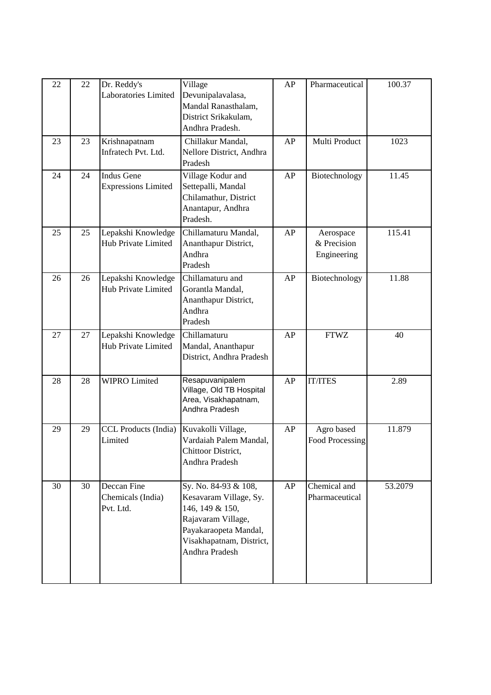| 22 | 22 | Dr. Reddy's<br>Laboratories Limited              | Village<br>Devunipalavalasa,<br>Mandal Ranasthalam,<br>District Srikakulam,<br>Andhra Pradesh.    | AP | Pharmaceutical                          | 100.37 |
|----|----|--------------------------------------------------|---------------------------------------------------------------------------------------------------|----|-----------------------------------------|--------|
| 23 | 23 | Krishnapatnam<br>Infratech Pvt. Ltd.             | Chillakur Mandal,<br>Nellore District, Andhra<br>Pradesh                                          | AP | Multi Product                           | 1023   |
| 24 | 24 | <b>Indus Gene</b><br><b>Expressions Limited</b>  | Village Kodur and<br>Settepalli, Mandal<br>Chilamathur, District<br>Anantapur, Andhra<br>Pradesh. | AP | Biotechnology                           | 11.45  |
| 25 | 25 | Lepakshi Knowledge<br>Hub Private Limited        | Chillamaturu Mandal,<br>Ananthapur District,<br>Andhra<br>Pradesh                                 | AP | Aerospace<br>& Precision<br>Engineering | 115.41 |
| 26 | 26 | Lepakshi Knowledge<br><b>Hub Private Limited</b> | Chillamaturu and<br>Gorantla Mandal,<br>Ananthapur District,<br>Andhra<br>Pradesh                 | AP | Biotechnology                           | 11.88  |
| 27 | 27 | Lepakshi Knowledge<br>Hub Private Limited        | Chillamaturu<br>Mandal, Ananthapur<br>District, Andhra Pradesh                                    | AP | <b>FTWZ</b>                             | 40     |
|    |    |                                                  |                                                                                                   |    |                                         |        |
| 28 | 28 | <b>WIPRO Limited</b>                             | Resapuvanipalem<br>Village, Old TB Hospital<br>Area, Visakhapatnam,<br>Andhra Pradesh             | AP | <b>IT/ITES</b>                          | 2.89   |
| 29 | 29 | <b>CCL Products (India)</b><br>Limited           | Kuvakolli Village,<br>Vardaiah Palem Mandal,<br>Chittoor District,<br>Andhra Pradesh              | AP | Agro based<br>Food Processing           | 11.879 |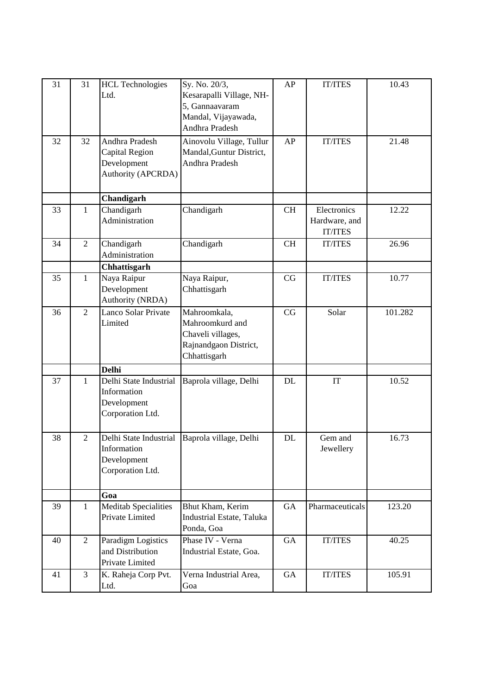| 31 | 31             | <b>HCL Technologies</b><br>Ltd.                                          | Sy. No. 20/3,<br>Kesarapalli Village, NH-<br>5, Gannaavaram                                   | AP        | <b>IT/ITES</b>                                 | 10.43   |
|----|----------------|--------------------------------------------------------------------------|-----------------------------------------------------------------------------------------------|-----------|------------------------------------------------|---------|
|    |                |                                                                          | Mandal, Vijayawada,<br>Andhra Pradesh                                                         |           |                                                |         |
| 32 | 32             | Andhra Pradesh<br>Capital Region<br>Development<br>Authority (APCRDA)    | Ainovolu Village, Tullur<br>Mandal, Guntur District,<br>Andhra Pradesh                        | AP        | <b>IT/ITES</b>                                 | 21.48   |
|    |                | Chandigarh                                                               |                                                                                               |           |                                                |         |
| 33 | $\mathbf{1}$   | Chandigarh<br>Administration                                             | Chandigarh                                                                                    | <b>CH</b> | Electronics<br>Hardware, and<br><b>IT/ITES</b> | 12.22   |
| 34 | $\overline{2}$ | Chandigarh<br>Administration                                             | Chandigarh                                                                                    | <b>CH</b> | <b>IT/ITES</b>                                 | 26.96   |
|    |                | Chhattisgarh                                                             |                                                                                               |           |                                                |         |
| 35 | $\mathbf{1}$   | Naya Raipur<br>Development<br>Authority (NRDA)                           | Naya Raipur,<br>Chhattisgarh                                                                  | CG        | <b>IT/ITES</b>                                 | 10.77   |
| 36 | $\overline{2}$ | Lanco Solar Private<br>Limited                                           | Mahroomkala,<br>Mahroomkurd and<br>Chaveli villages,<br>Rajnandgaon District,<br>Chhattisgarh | CG        | Solar                                          | 101.282 |
|    |                | <b>Delhi</b>                                                             |                                                                                               |           |                                                |         |
| 37 | $\mathbf{1}$   | Delhi State Industrial<br>Information<br>Development<br>Corporation Ltd. | Baprola village, Delhi                                                                        | DL        | IT                                             | 10.52   |
| 38 | $\overline{2}$ | Delhi State Industrial<br>Information<br>Development<br>Corporation Ltd. | Baprola village, Delhi                                                                        | <b>DL</b> | Gem and<br>Jewellery                           | 16.73   |
|    |                | Goa                                                                      |                                                                                               |           |                                                |         |
| 39 | $\mathbf{1}$   | <b>Meditab Specialities</b><br>Private Limited                           | Bhut Kham, Kerim<br>Industrial Estate, Taluka<br>Ponda, Goa                                   | GA        | Pharmaceuticals                                | 123.20  |
| 40 | $\overline{2}$ | Paradigm Logistics<br>and Distribution<br>Private Limited                | Phase IV - Verna<br>Industrial Estate, Goa.                                                   | GA        | <b>IT/ITES</b>                                 | 40.25   |
| 41 | 3              | K. Raheja Corp Pvt.<br>Ltd.                                              | Verna Industrial Area,<br>Goa                                                                 | GA        | <b>IT/ITES</b>                                 | 105.91  |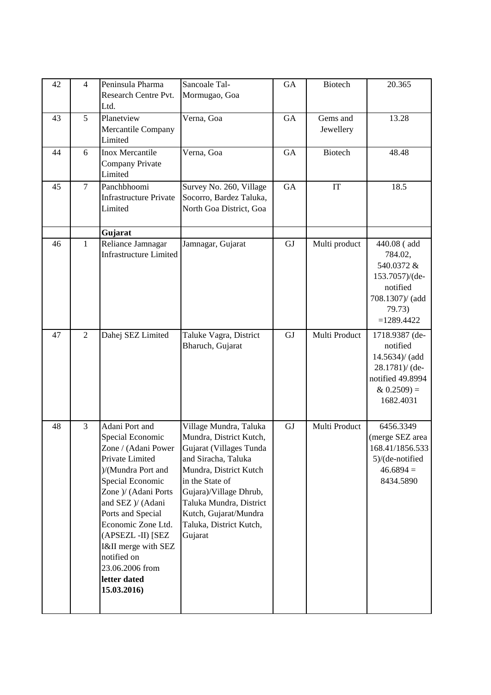| 42 | 4              | Peninsula Pharma<br><b>Research Centre Pvt.</b><br>Ltd.                                                                                                                                                                                                                                                                    | Sancoale Tal-<br>Mormugao, Goa                                                                                                                                                                                                                                       | <b>GA</b> | Biotech               | 20.365                                                                                                          |
|----|----------------|----------------------------------------------------------------------------------------------------------------------------------------------------------------------------------------------------------------------------------------------------------------------------------------------------------------------------|----------------------------------------------------------------------------------------------------------------------------------------------------------------------------------------------------------------------------------------------------------------------|-----------|-----------------------|-----------------------------------------------------------------------------------------------------------------|
| 43 | 5              | Planetview<br>Mercantile Company<br>Limited                                                                                                                                                                                                                                                                                | Verna, Goa                                                                                                                                                                                                                                                           | <b>GA</b> | Gems and<br>Jewellery | 13.28                                                                                                           |
| 44 | 6              | <b>Inox Mercantile</b><br><b>Company Private</b><br>Limited                                                                                                                                                                                                                                                                | Verna, Goa                                                                                                                                                                                                                                                           | GA        | Biotech               | 48.48                                                                                                           |
| 45 | $\overline{7}$ | Panchbhoomi<br><b>Infrastructure Private</b><br>Limited                                                                                                                                                                                                                                                                    | Survey No. 260, Village<br>Socorro, Bardez Taluka,<br>North Goa District, Goa                                                                                                                                                                                        | GA        | IT                    | 18.5                                                                                                            |
|    |                | Gujarat                                                                                                                                                                                                                                                                                                                    |                                                                                                                                                                                                                                                                      |           |                       |                                                                                                                 |
| 46 | $\mathbf{1}$   | Reliance Jamnagar<br><b>Infrastructure Limited</b>                                                                                                                                                                                                                                                                         | Jamnagar, Gujarat                                                                                                                                                                                                                                                    | GJ        | Multi product         | 440.08 (add<br>784.02,<br>540.0372 &<br>153.7057)/(de-<br>notified<br>708.1307)/ (add<br>79.73)<br>$=1289.4422$ |
| 47 | $\overline{2}$ | Dahej SEZ Limited                                                                                                                                                                                                                                                                                                          | Taluke Vagra, District<br>Bharuch, Gujarat                                                                                                                                                                                                                           | GJ        | Multi Product         | 1718.9387 (de-<br>notified<br>14.5634)/ (add<br>28.1781)/ (de-<br>notified 49.8994<br>$& 0.2509 =$<br>1682.4031 |
| 48 | 3              | Adani Port and<br>Special Economic<br>Zone / (Adani Power<br>Private Limited<br>)/(Mundra Port and<br>Special Economic<br>Zone )/ (Adani Ports<br>and SEZ )/ (Adani<br>Ports and Special<br>Economic Zone Ltd.<br>(APSEZL-II) [SEZ<br>I&II merge with SEZ<br>notified on<br>23.06.2006 from<br>letter dated<br>15.03.2016) | Village Mundra, Taluka<br>Mundra, District Kutch,<br>Gujarat (Villages Tunda<br>and Siracha, Taluka<br>Mundra, District Kutch<br>in the State of<br>Gujara)/Village Dhrub,<br>Taluka Mundra, District<br>Kutch, Gujarat/Mundra<br>Taluka, District Kutch,<br>Gujarat | GJ        | Multi Product         | 6456.3349<br>(merge SEZ area<br>168.41/1856.533<br>5)/(de-notified<br>$46.6894 =$<br>8434.5890                  |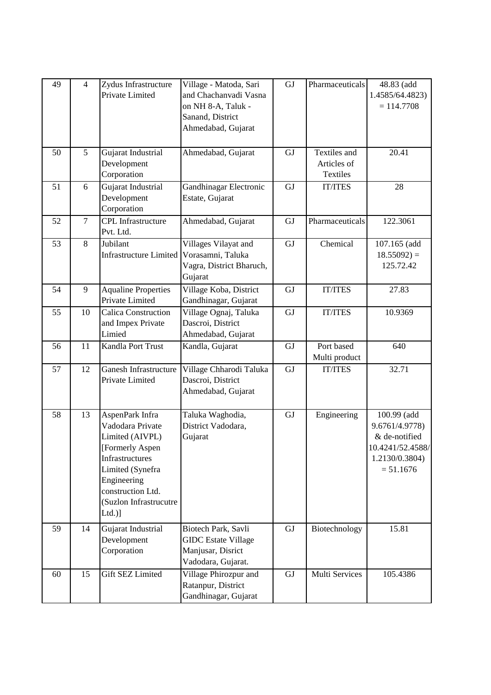| 49 | $\overline{4}$ | Zydus Infrastructure<br>Private Limited                                                                                                                                                 | Village - Matoda, Sari<br>and Chachanvadi Vasna<br>on NH 8-A, Taluk -<br>Sanand, District<br>Ahmedabad, Gujarat | GJ | Pharmaceuticals                                | 48.83 (add<br>1.4585/64.4823)<br>$= 114.7708$                                                       |
|----|----------------|-----------------------------------------------------------------------------------------------------------------------------------------------------------------------------------------|-----------------------------------------------------------------------------------------------------------------|----|------------------------------------------------|-----------------------------------------------------------------------------------------------------|
| 50 | 5              | Gujarat Industrial<br>Development<br>Corporation                                                                                                                                        | Ahmedabad, Gujarat                                                                                              | GJ | Textiles and<br>Articles of<br><b>Textiles</b> | 20.41                                                                                               |
| 51 | 6              | Gujarat Industrial<br>Development<br>Corporation                                                                                                                                        | Gandhinagar Electronic<br>Estate, Gujarat                                                                       | GJ | <b>IT/ITES</b>                                 | 28                                                                                                  |
| 52 | $\overline{7}$ | CPL Infrastructure<br>Pvt. Ltd.                                                                                                                                                         | Ahmedabad, Gujarat                                                                                              | GJ | Pharmaceuticals                                | 122.3061                                                                                            |
| 53 | 8              | Jubilant<br><b>Infrastructure Limited</b>                                                                                                                                               | Villages Vilayat and<br>Vorasamni, Taluka<br>Vagra, District Bharuch,<br>Gujarat                                | GJ | Chemical                                       | 107.165 (add<br>$18.55092 =$<br>125.72.42                                                           |
| 54 | 9              | <b>Aqualine Properties</b><br>Private Limited                                                                                                                                           | Village Koba, District<br>Gandhinagar, Gujarat                                                                  | GJ | <b>IT/ITES</b>                                 | 27.83                                                                                               |
| 55 | 10             | <b>Calica Construction</b><br>and Impex Private<br>Limied                                                                                                                               | Village Ognaj, Taluka<br>Dascroi, District<br>Ahmedabad, Gujarat                                                | GJ | <b>IT/ITES</b>                                 | 10.9369                                                                                             |
| 56 | 11             | Kandla Port Trust                                                                                                                                                                       | Kandla, Gujarat                                                                                                 | GJ | Port based<br>Multi product                    | 640                                                                                                 |
| 57 | 12             | <b>Ganesh Infrastructure</b><br>Private Limited                                                                                                                                         | Village Chharodi Taluka<br>Dascroi, District<br>Ahmedabad, Gujarat                                              | GJ | <b>IT/ITES</b>                                 | 32.71                                                                                               |
| 58 | 13             | AspenPark Infra<br>Vadodara Private<br>Limited (AIVPL)<br>[Formerly Aspen<br>Infrastructures<br>Limited (Synefra<br>Engineering<br>construction Ltd.<br>(Suzlon Infrastrucutre<br>Ltd.) | Taluka Waghodia,<br>District Vadodara,<br>Gujarat                                                               | GJ | Engineering                                    | 100.99 (add<br>9.6761/4.9778)<br>& de-notified<br>10.4241/52.4588/<br>1.2130/0.3804)<br>$= 51.1676$ |
| 59 | 14             | Gujarat Industrial<br>Development<br>Corporation                                                                                                                                        | Biotech Park, Savli<br><b>GIDC</b> Estate Village<br>Manjusar, Disrict<br>Vadodara, Gujarat.                    | GJ | Biotechnology                                  | 15.81                                                                                               |
| 60 | 15             | <b>Gift SEZ Limited</b>                                                                                                                                                                 | Village Phirozpur and<br>Ratanpur, District<br>Gandhinagar, Gujarat                                             | GJ | Multi Services                                 | 105.4386                                                                                            |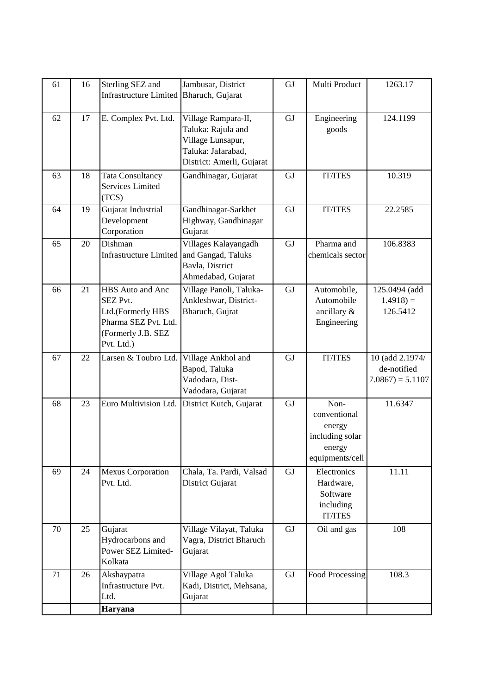| 61 | 16 | Sterling SEZ and<br><b>Infrastructure Limited</b>                                                             | Jambusar, District<br>Bharuch, Gujarat                                                                            | GJ        | Multi Product                                                                  | 1263.17                                             |
|----|----|---------------------------------------------------------------------------------------------------------------|-------------------------------------------------------------------------------------------------------------------|-----------|--------------------------------------------------------------------------------|-----------------------------------------------------|
| 62 | 17 | E. Complex Pvt. Ltd.                                                                                          | Village Rampara-II,<br>Taluka: Rajula and<br>Village Lunsapur,<br>Taluka: Jafarabad,<br>District: Amerli, Gujarat | GJ        | Engineering<br>goods                                                           | 124.1199                                            |
| 63 | 18 | <b>Tata Consultancy</b><br><b>Services Limited</b><br>(TCS)                                                   | Gandhinagar, Gujarat                                                                                              | GJ        | <b>IT/ITES</b>                                                                 | 10.319                                              |
| 64 | 19 | Gujarat Industrial<br>Development<br>Corporation                                                              | Gandhinagar-Sarkhet<br>Highway, Gandhinagar<br>Gujarat                                                            | GJ        | <b>IT/ITES</b>                                                                 | 22.2585                                             |
| 65 | 20 | Dishman<br><b>Infrastructure Limited</b>                                                                      | Villages Kalayangadh<br>and Gangad, Taluks<br>Bavla, District<br>Ahmedabad, Gujarat                               | <b>GJ</b> | Pharma and<br>chemicals sector                                                 | 106.8383                                            |
| 66 | 21 | HBS Auto and Anc<br>SEZ Pvt.<br>Ltd.(Formerly HBS<br>Pharma SEZ Pvt. Ltd.<br>(Formerly J.B. SEZ<br>Pvt. Ltd.) | Village Panoli, Taluka-<br>Ankleshwar, District-<br>Bharuch, Gujrat                                               | GJ        | Automobile,<br>Automobile<br>ancillary &<br>Engineering                        | 125.0494 (add<br>$1.4918 =$<br>126.5412             |
| 67 | 22 | Larsen & Toubro Ltd.                                                                                          | Village Ankhol and<br>Bapod, Taluka<br>Vadodara, Dist-<br>Vadodara, Gujarat                                       | GJ        | <b>IT/ITES</b>                                                                 | 10 (add 2.1974/<br>de-notified<br>$7.0867 = 5.1107$ |
| 68 | 23 | Euro Multivision Ltd.                                                                                         | District Kutch, Gujarat                                                                                           | GJ        | Non-<br>conventional<br>energy<br>including solar<br>energy<br>equipments/cell | 11.6347                                             |
| 69 | 24 | <b>Mexus Corporation</b><br>Pvt. Ltd.                                                                         | Chala, Ta. Pardi, Valsad<br>District Gujarat                                                                      | <b>GJ</b> | Electronics<br>Hardware,<br>Software<br>including<br><b>IT/ITES</b>            | 11.11                                               |
| 70 | 25 | Gujarat<br>Hydrocarbons and<br>Power SEZ Limited-<br>Kolkata                                                  | Village Vilayat, Taluka<br>Vagra, District Bharuch<br>Gujarat                                                     | <b>GJ</b> | Oil and gas                                                                    | 108                                                 |
| 71 | 26 | Akshaypatra<br>Infrastructure Pvt.<br>Ltd.                                                                    | Village Agol Taluka<br>Kadi, District, Mehsana,<br>Gujarat                                                        | GJ        | Food Processing                                                                | 108.3                                               |
|    |    | Haryana                                                                                                       |                                                                                                                   |           |                                                                                |                                                     |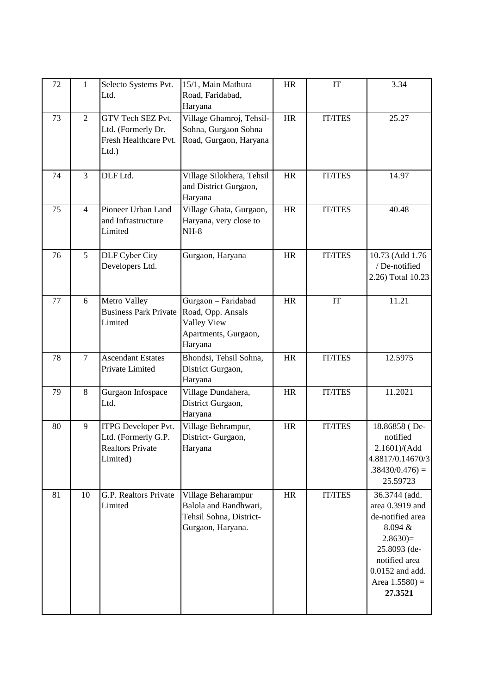| 72 | $\mathbf{1}$   | Selecto Systems Pvt.<br>Ltd.                                                      | 15/1, Main Mathura<br>Road, Faridabad,                                                      | HR        | IT             | 3.34                                                                                                                                                             |
|----|----------------|-----------------------------------------------------------------------------------|---------------------------------------------------------------------------------------------|-----------|----------------|------------------------------------------------------------------------------------------------------------------------------------------------------------------|
| 73 | $\overline{2}$ | GTV Tech SEZ Pvt.<br>Ltd. (Formerly Dr.<br>Fresh Healthcare Pvt.<br>$Ltd.$ )      | Haryana<br>Village Ghamroj, Tehsil-<br>Sohna, Gurgaon Sohna<br>Road, Gurgaon, Haryana       | <b>HR</b> | <b>IT/ITES</b> | 25.27                                                                                                                                                            |
| 74 | 3              | DLF Ltd.                                                                          | Village Silokhera, Tehsil<br>and District Gurgaon,<br>Haryana                               | <b>HR</b> | <b>IT/ITES</b> | 14.97                                                                                                                                                            |
| 75 | $\overline{4}$ | Pioneer Urban Land<br>and Infrastructure<br>Limited                               | Village Ghata, Gurgaon,<br>Haryana, very close to<br>$NH-8$                                 | <b>HR</b> | <b>IT/ITES</b> | 40.48                                                                                                                                                            |
| 76 | 5              | DLF Cyber City<br>Developers Ltd.                                                 | Gurgaon, Haryana                                                                            | HR        | <b>IT/ITES</b> | 10.73 (Add 1.76)<br>/ De-notified<br>2.26) Total 10.23                                                                                                           |
| 77 | 6              | Metro Valley<br><b>Business Park Private</b><br>Limited                           | Gurgaon - Faridabad<br>Road, Opp. Ansals<br>Valley View<br>Apartments, Gurgaon,<br>Haryana  | HR        | IT             | 11.21                                                                                                                                                            |
| 78 | $\overline{7}$ | <b>Ascendant Estates</b><br>Private Limited                                       | Bhondsi, Tehsil Sohna,<br>District Gurgaon,<br>Haryana                                      | <b>HR</b> | <b>IT/ITES</b> | 12.5975                                                                                                                                                          |
| 79 | 8              | Gurgaon Infospace<br>Ltd.                                                         | Village Dundahera,<br>District Gurgaon,<br>Haryana                                          | HR        | <b>IT/ITES</b> | 11.2021                                                                                                                                                          |
| 80 | 9              | ITPG Developer Pvt.<br>Ltd. (Formerly G.P.<br><b>Realtors Private</b><br>Limited) | Village Behrampur,<br>District- Gurgaon,<br>Haryana                                         | <b>HR</b> | <b>IT/ITES</b> | 18.86858 (De-<br>notified<br>2.1601)/(Add<br>4.8817/0.14670/3<br>$.38430/0.476 =$<br>25.59723                                                                    |
| 81 | 10             | G.P. Realtors Private<br>Limited                                                  | Village Beharampur<br>Balola and Bandhwari,<br>Tehsil Sohna, District-<br>Gurgaon, Haryana. | <b>HR</b> | <b>IT/ITES</b> | 36.3744 (add.<br>area 0.3919 and<br>de-notified area<br>8.094 &<br>$2.8630=$<br>25.8093 (de-<br>notified area<br>$0.0152$ and add.<br>Area $1.5580$ =<br>27.3521 |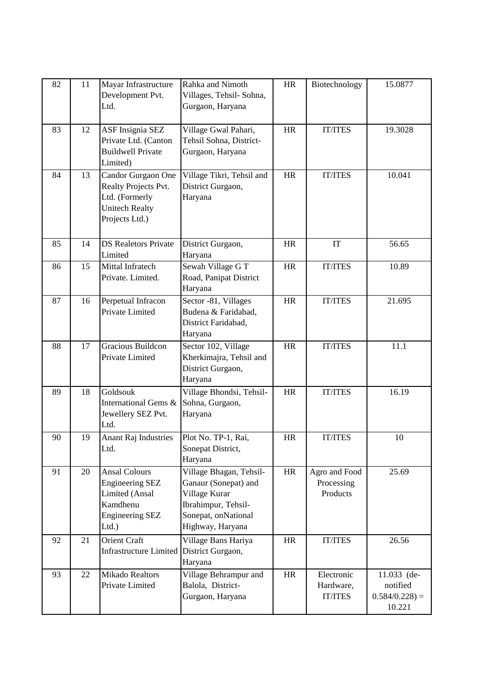| 82 | 11 | Mayar Infrastructure<br>Development Pvt.<br>Ltd.                                                                | Rahka and Nimoth<br>Villages, Tehsil- Sohna,<br>Gurgaon, Haryana                                                                   | HR        | Biotechnology                             | 15.0877                                                |
|----|----|-----------------------------------------------------------------------------------------------------------------|------------------------------------------------------------------------------------------------------------------------------------|-----------|-------------------------------------------|--------------------------------------------------------|
| 83 | 12 | <b>ASF</b> Insignia SEZ<br>Private Ltd. (Canton<br><b>Buildwell Private</b><br>Limited)                         | Village Gwal Pahari,<br>Tehsil Sohna, District-<br>Gurgaon, Haryana                                                                | HR        | <b>IT/ITES</b>                            | 19.3028                                                |
| 84 | 13 | Candor Gurgaon One<br>Realty Projects Pvt.<br>Ltd. (Formerly<br><b>Unitech Realty</b><br>Projects Ltd.)         | Village Tikri, Tehsil and<br>District Gurgaon,<br>Haryana                                                                          | <b>HR</b> | <b>IT/ITES</b>                            | 10.041                                                 |
| 85 | 14 | <b>DS Realetors Private</b><br>Limited                                                                          | District Gurgaon,<br>Haryana                                                                                                       | <b>HR</b> | IT                                        | 56.65                                                  |
| 86 | 15 | Mittal Infratech<br>Private. Limited.                                                                           | Sewah Village GT<br>Road, Panipat District<br>Haryana                                                                              | <b>HR</b> | <b>IT/ITES</b>                            | 10.89                                                  |
| 87 | 16 | Perpetual Infracon<br>Private Limited                                                                           | Sector -81, Villages<br>Budena & Faridabad,<br>District Faridabad,<br>Haryana                                                      | HR        | <b>IT/ITES</b>                            | 21.695                                                 |
| 88 | 17 | <b>Gracious Buildcon</b><br>Private Limited                                                                     | Sector 102, Village<br>Kherkimajra, Tehsil and<br>District Gurgaon,<br>Haryana                                                     | HR        | <b>IT/ITES</b>                            | 11.1                                                   |
| 89 | 18 | Goldsouk<br>International Gems &<br>Jewellery SEZ Pvt.<br>Ltd.                                                  | Village Bhondsi, Tehsil-<br>Sohna, Gurgaon,<br>Haryana                                                                             | <b>HR</b> | <b>IT/ITES</b>                            | 16.19                                                  |
| 90 | 19 | Anant Raj Industries<br>Ltd.                                                                                    | Plot No. TP-1, Rai,<br>Sonepat District,<br>Haryana                                                                                | <b>HR</b> | <b>IT/ITES</b>                            | 10                                                     |
| 91 | 20 | <b>Ansal Colours</b><br><b>Engineering SEZ</b><br>Limited (Ansal<br>Kamdhenu<br><b>Engineering SEZ</b><br>Ltd.) | Village Bhagan, Tehsil-<br>Ganaur (Sonepat) and<br>Village Kurar<br>Ibrahimpur, Tehsil-<br>Sonepat, onNational<br>Highway, Haryana | HR        | Agro and Food<br>Processing<br>Products   | 25.69                                                  |
| 92 | 21 | <b>Orient Craft</b><br><b>Infrastructure Limited</b>                                                            | Village Bans Hariya<br>District Gurgaon,<br>Haryana                                                                                | HR        | <b>IT/ITES</b>                            | 26.56                                                  |
| 93 | 22 | <b>Mikado Realtors</b><br>Private Limited                                                                       | Village Behrampur and<br>Balola, District-<br>Gurgaon, Haryana                                                                     | HR        | Electronic<br>Hardware,<br><b>IT/ITES</b> | $11.033$ (de-<br>notified<br>$0.584/0.228$ =<br>10.221 |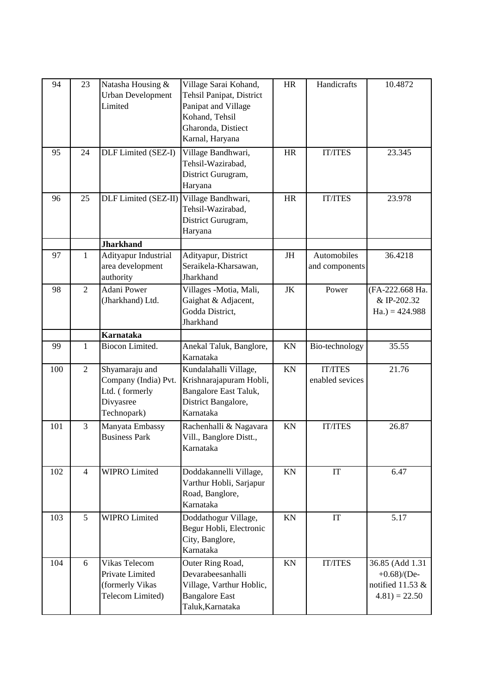| 94  | 23             | Natasha Housing &            | Village Sarai Kohand,             | <b>HR</b> | Handicrafts     | 10.4872             |
|-----|----------------|------------------------------|-----------------------------------|-----------|-----------------|---------------------|
|     |                | <b>Urban Development</b>     | Tehsil Panipat, District          |           |                 |                     |
|     |                | Limited                      | Panipat and Village               |           |                 |                     |
|     |                |                              | Kohand, Tehsil                    |           |                 |                     |
|     |                |                              | Gharonda, Distiect                |           |                 |                     |
|     |                |                              | Karnal, Haryana                   |           |                 |                     |
| 95  | 24             | DLF Limited (SEZ-I)          | Village Bandhwari,                | <b>HR</b> | <b>IT/ITES</b>  | 23.345              |
|     |                |                              | Tehsil-Wazirabad,                 |           |                 |                     |
|     |                |                              | District Gurugram,                |           |                 |                     |
|     |                |                              | Haryana                           |           |                 |                     |
| 96  | 25             | DLF Limited (SEZ-II)         | Village Bandhwari,                | <b>HR</b> | <b>IT/ITES</b>  | 23.978              |
|     |                |                              | Tehsil-Wazirabad,                 |           |                 |                     |
|     |                |                              | District Gurugram,                |           |                 |                     |
|     |                |                              | Haryana                           |           |                 |                     |
|     |                | <b>Jharkhand</b>             |                                   |           |                 |                     |
| 97  | $\mathbf{1}$   | Adityapur Industrial         | Adityapur, District               | JH        | Automobiles     | 36.4218             |
|     |                | area development             | Seraikela-Kharsawan,<br>Jharkhand |           | and components  |                     |
|     |                | authority                    |                                   |           |                 |                     |
| 98  | $\overline{2}$ | Adani Power                  | Villages -Motia, Mali,            | JK        | Power           | (FA-222.668 Ha.     |
|     |                | (Jharkhand) Ltd.             | Gaighat & Adjacent,               |           |                 | & IP-202.32         |
|     |                |                              | Godda District,                   |           |                 | $Ha.$ ) = 424.988   |
|     |                |                              | Jharkhand                         |           |                 |                     |
| 99  | 1              | Karnataka<br>Biocon Limited. | Anekal Taluk, Banglore,           | KN        |                 | 35.55               |
|     |                |                              | Karnataka                         |           | Bio-technology  |                     |
| 100 | $\overline{2}$ | Shyamaraju and               | Kundalahalli Village,             | KN        | <b>IT/ITES</b>  | 21.76               |
|     |                | Company (India) Pvt.         | Krishnarajapuram Hobli,           |           | enabled sevices |                     |
|     |                | Ltd. (formerly               | Bangalore East Taluk,             |           |                 |                     |
|     |                | Divyasree                    | District Bangalore,               |           |                 |                     |
|     |                | Technopark)                  | Karnataka                         |           |                 |                     |
| 101 | 3              | Manyata Embassy              | Rachenhalli & Nagavara            | KN        | <b>IT/ITES</b>  | 26.87               |
|     |                | <b>Business Park</b>         | Vill., Banglore Distt.,           |           |                 |                     |
|     |                |                              | Karnataka                         |           |                 |                     |
|     |                |                              |                                   |           |                 |                     |
| 102 | 4              | <b>WIPRO Limited</b>         | Doddakannelli Village,            | KN        | IT              | 6.47                |
|     |                |                              | Varthur Hobli, Sarjapur           |           |                 |                     |
|     |                |                              | Road, Banglore,                   |           |                 |                     |
|     |                |                              | Karnataka                         |           |                 |                     |
| 103 | 5              | <b>WIPRO Limited</b>         | Doddathogur Village,              | KN        | IT              | 5.17                |
|     |                |                              | Begur Hobli, Electronic           |           |                 |                     |
|     |                |                              | City, Banglore,                   |           |                 |                     |
|     |                |                              | Karnataka                         |           |                 |                     |
| 104 | 6              | Vikas Telecom                | Outer Ring Road,                  | KN        | <b>IT/ITES</b>  | 36.85 (Add 1.31     |
|     |                | Private Limited              | Devarabeesanhalli                 |           |                 | $+0.68)/(De-$       |
|     |                | (formerly Vikas              | Village, Varthur Hoblic,          |           |                 | notified 11.53 $\&$ |
|     |                | Telecom Limited)             | <b>Bangalore East</b>             |           |                 | $4.81) = 22.50$     |
|     |                |                              | Taluk, Karnataka                  |           |                 |                     |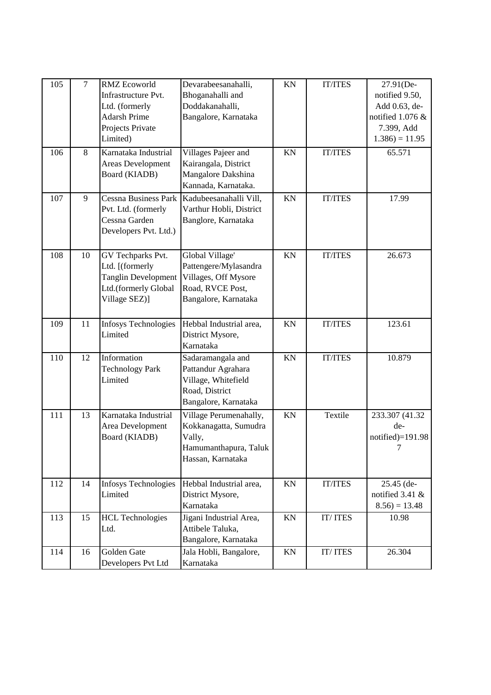| 105 | $\overline{7}$ | <b>RMZ</b> Ecoworld<br>Infrastructure Pvt.         | Devarabeesanahalli,<br>Bhoganahalli and           | KN | <b>IT/ITES</b> | 27.91(De-<br>notified 9.50, |
|-----|----------------|----------------------------------------------------|---------------------------------------------------|----|----------------|-----------------------------|
|     |                | Ltd. (formerly                                     | Doddakanahalli,                                   |    |                | Add 0.63, de-               |
|     |                | <b>Adarsh Prime</b>                                | Bangalore, Karnataka                              |    |                | notified $1.076$ &          |
|     |                | Projects Private                                   |                                                   |    |                | 7.399, Add                  |
|     |                | Limited)                                           |                                                   |    |                | $1.386 = 11.95$             |
| 106 | 8              | Karnataka Industrial                               | Villages Pajeer and                               | KN | <b>IT/ITES</b> | 65.571                      |
|     |                | Areas Development                                  | Kairangala, District                              |    |                |                             |
|     |                | Board (KIADB)                                      | Mangalore Dakshina                                |    |                |                             |
|     |                |                                                    | Kannada, Karnataka.                               |    |                |                             |
| 107 | 9              | <b>Cessna Business Park</b><br>Pvt. Ltd. (formerly | Kadubeesanahalli Vill,<br>Varthur Hobli, District | KN | <b>IT/ITES</b> | 17.99                       |
|     |                | Cessna Garden                                      | Banglore, Karnataka                               |    |                |                             |
|     |                | Developers Pvt. Ltd.)                              |                                                   |    |                |                             |
|     |                |                                                    |                                                   |    |                |                             |
| 108 | 10             | GV Techparks Pvt.                                  | Global Village'                                   | KN | <b>IT/ITES</b> | 26.673                      |
|     |                | Ltd. [(formerly                                    | Pattengere/Mylasandra                             |    |                |                             |
|     |                | <b>Tanglin Development</b>                         | Villages, Off Mysore                              |    |                |                             |
|     |                | Ltd.(formerly Global                               | Road, RVCE Post,                                  |    |                |                             |
|     |                | Village SEZ)]                                      | Bangalore, Karnataka                              |    |                |                             |
| 109 | 11             | <b>Infosys Technologies</b>                        | Hebbal Industrial area,                           | KN | <b>IT/ITES</b> | 123.61                      |
|     |                | Limited                                            | District Mysore,                                  |    |                |                             |
|     |                |                                                    | Karnataka                                         |    |                |                             |
| 110 | 12             | Information                                        | Sadaramangala and                                 | KN | <b>IT/ITES</b> | 10.879                      |
|     |                | <b>Technology Park</b>                             | Pattandur Agrahara                                |    |                |                             |
|     |                | Limited                                            | Village, Whitefield                               |    |                |                             |
|     |                |                                                    | Road, District                                    |    |                |                             |
|     |                |                                                    | Bangalore, Karnataka                              |    |                |                             |
| 111 | 13             | Karnataka Industrial                               | Village Perumenahally,                            | KN | Textile        | 233.307 (41.32)<br>de-      |
|     |                | Area Development<br>Board (KIADB)                  | Kokkanagatta, Sumudra<br>Vally,                   |    |                | notified)= $191.98$         |
|     |                |                                                    | Hamumanthapura, Taluk                             |    |                |                             |
|     |                |                                                    | Hassan, Karnataka                                 |    |                |                             |
|     |                |                                                    |                                                   |    |                |                             |
| 112 | 14             | <b>Infosys Technologies</b>                        | Hebbal Industrial area,                           | KN | <b>IT/ITES</b> | 25.45 (de-                  |
|     |                | Limited                                            | District Mysore,                                  |    |                | notified 3.41 &             |
|     |                |                                                    | Karnataka                                         |    |                | $8.56 = 13.48$              |
| 113 | 15             | <b>HCL Technologies</b><br>Ltd.                    | Jigani Industrial Area,<br>Attibele Taluka,       | KN | IT/ITES        | 10.98                       |
|     |                |                                                    | Bangalore, Karnataka                              |    |                |                             |
| 114 | 16             | Golden Gate                                        | Jala Hobli, Bangalore,                            | KN | IT/ITES        | 26.304                      |
|     |                | Developers Pvt Ltd                                 | Karnataka                                         |    |                |                             |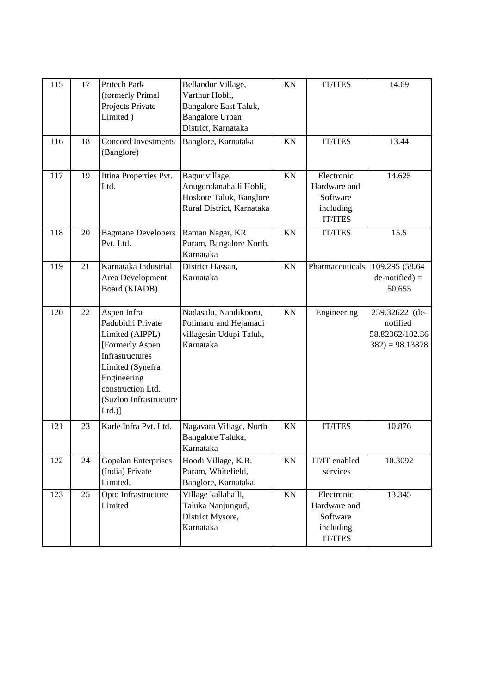| 115 | 17 | <b>Pritech Park</b><br>(formerly Primal<br>Projects Private<br>Limited)                                                                                                              | Bellandur Village,<br>Varthur Hobli,<br><b>Bangalore East Taluk,</b><br><b>Bangalore Urban</b><br>District, Karnataka | KN | <b>IT/ITES</b>                                                        | 14.69                                                               |
|-----|----|--------------------------------------------------------------------------------------------------------------------------------------------------------------------------------------|-----------------------------------------------------------------------------------------------------------------------|----|-----------------------------------------------------------------------|---------------------------------------------------------------------|
| 116 | 18 | <b>Concord Investments</b><br>(Banglore)                                                                                                                                             | Banglore, Karnataka                                                                                                   | KN | <b>IT/ITES</b>                                                        | 13.44                                                               |
| 117 | 19 | Ittina Properties Pvt.<br>Ltd.                                                                                                                                                       | Bagur village,<br>Anugondanahalli Hobli,<br>Hoskote Taluk, Banglore<br>Rural District, Karnataka                      | KN | Electronic<br>Hardware and<br>Software<br>including<br><b>IT/ITES</b> | 14.625                                                              |
| 118 | 20 | <b>Bagmane Developers</b><br>Pvt. Ltd.                                                                                                                                               | Raman Nagar, KR<br>Puram, Bangalore North,<br>Karnataka                                                               | KN | <b>IT/ITES</b>                                                        | 15.5                                                                |
| 119 | 21 | Karnataka Industrial<br>Area Development<br>Board (KIADB)                                                                                                                            | District Hassan,<br>Karnataka                                                                                         | KN | Pharmaceuticals                                                       | 109.295 (58.64)<br>$de-notified) =$<br>50.655                       |
| 120 | 22 | Aspen Infra<br>Padubidri Private<br>Limited (AIPPL)<br>[Formerly Aspen<br>Infrastructures<br>Limited (Synefra<br>Engineering<br>construction Ltd.<br>(Suzlon Infrastrucutre<br>Ltd.) | Nadasalu, Nandikooru,<br>Polimaru and Hejamadi<br>villagesin Udupi Taluk,<br>Karnataka                                | KN | Engineering                                                           | 259.32622 (de-<br>notified<br>58.82362/102.36<br>$382$ ) = 98.13878 |
| 121 | 23 | Karle Infra Pvt. Ltd.                                                                                                                                                                | Nagavara Village, North<br>Bangalore Taluka,<br>Karnataka                                                             | KN | <b>IT/ITES</b>                                                        | 10.876                                                              |
| 122 | 24 | <b>Gopalan Enterprises</b><br>(India) Private<br>Limited.                                                                                                                            | Hoodi Village, K.R.<br>Puram, Whitefield,<br>Banglore, Karnataka.                                                     | KN | IT/IT enabled<br>services                                             | 10.3092                                                             |
| 123 | 25 | Opto Infrastructure<br>Limited                                                                                                                                                       | Village kallahalli,<br>Taluka Nanjungud,<br>District Mysore,<br>Karnataka                                             | KN | Electronic<br>Hardware and<br>Software<br>including<br><b>IT/ITES</b> | 13.345                                                              |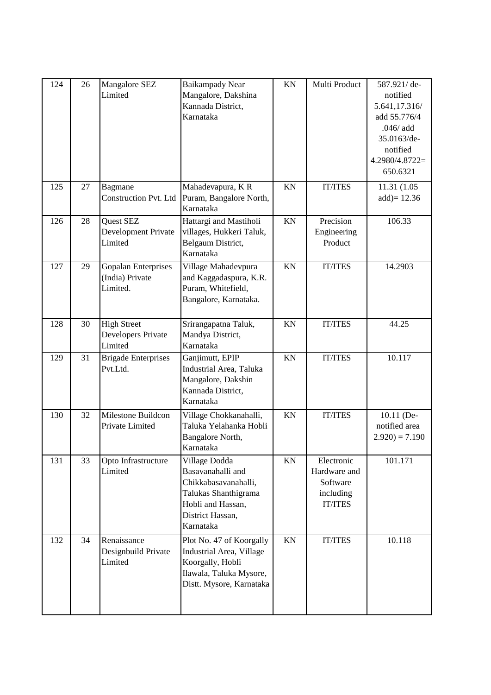| 124<br>125 | 26<br>27 | Mangalore SEZ<br>Limited<br>Bagmane                       | <b>Baikampady Near</b><br>Mangalore, Dakshina<br>Kannada District,<br>Karnataka<br>Mahadevapura, KR                                      | KN<br>KN | Multi Product<br><b>IT/ITES</b>                                       | 587.921/de-<br>notified<br>5.641,17.316/<br>add 55.776/4<br>$.046/$ add<br>35.0163/de-<br>notified<br>4.2980/4.8722=<br>650.6321<br>11.31 (1.05) |
|------------|----------|-----------------------------------------------------------|------------------------------------------------------------------------------------------------------------------------------------------|----------|-----------------------------------------------------------------------|--------------------------------------------------------------------------------------------------------------------------------------------------|
|            |          | <b>Construction Pvt. Ltd</b>                              | Puram, Bangalore North,<br>Karnataka                                                                                                     |          |                                                                       | $add)=12.36$                                                                                                                                     |
| 126        | 28       | Quest SEZ<br>Development Private<br>Limited               | Hattargi and Mastiholi<br>villages, Hukkeri Taluk,<br>Belgaum District,<br>Karnataka                                                     | KN       | Precision<br>Engineering<br>Product                                   | 106.33                                                                                                                                           |
| 127        | 29       | <b>Gopalan Enterprises</b><br>(India) Private<br>Limited. | Village Mahadevpura<br>and Kaggadaspura, K.R.<br>Puram, Whitefield,<br>Bangalore, Karnataka.                                             | KN       | <b>IT/ITES</b>                                                        | 14.2903                                                                                                                                          |
| 128        | 30       | <b>High Street</b><br>Developers Private<br>Limited       | Srirangapatna Taluk,<br>Mandya District,<br>Karnataka                                                                                    | KN       | <b>IT/ITES</b>                                                        | 44.25                                                                                                                                            |
| 129        | 31       | <b>Brigade Enterprises</b><br>Pvt.Ltd.                    | Ganjimutt, EPIP<br>Industrial Area, Taluka<br>Mangalore, Dakshin<br>Kannada District,<br>Karnataka                                       | KN       | <b>IT/ITES</b>                                                        | 10.117                                                                                                                                           |
| 130        | 32       | Milestone Buildcon<br>Private Limited                     | Village Chokkanahalli,<br>Taluka Yelahanka Hobli<br>Bangalore North,<br>Karnataka                                                        | KN       | <b>IT/ITES</b>                                                        | 10.11 (De-<br>notified area<br>$2.920 = 7.190$                                                                                                   |
| 131        | 33       | Opto Infrastructure<br>Limited                            | Village Dodda<br>Basavanahalli and<br>Chikkabasavanahalli,<br>Talukas Shanthigrama<br>Hobli and Hassan,<br>District Hassan,<br>Karnataka | KN       | Electronic<br>Hardware and<br>Software<br>including<br><b>IT/ITES</b> | 101.171                                                                                                                                          |
| 132        | 34       | Renaissance<br>Designbuild Private<br>Limited             | Plot No. 47 of Koorgally<br>Industrial Area, Village<br>Koorgally, Hobli<br>Ilawala, Taluka Mysore,<br>Distt. Mysore, Karnataka          | KN       | <b>IT/ITES</b>                                                        | 10.118                                                                                                                                           |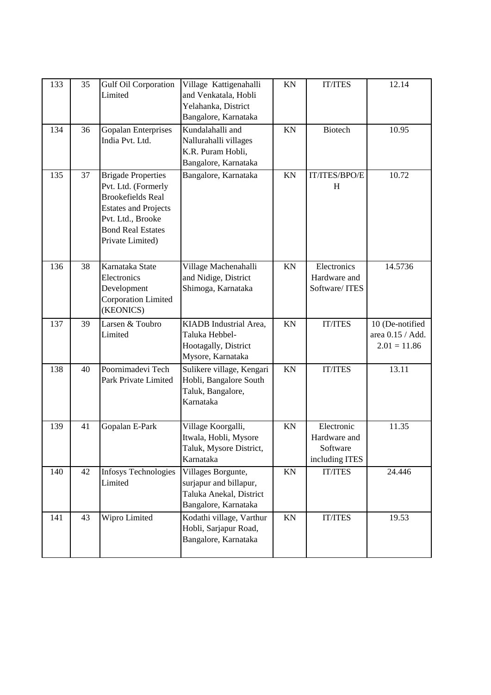| 133 | 35 | <b>Gulf Oil Corporation</b><br>Limited                                                                                                                                           | Village Kattigenahalli<br>and Venkatala, Hobli<br>Yelahanka, District<br>Bangalore, Karnataka   | KN                         | <b>IT/ITES</b>                                           | 12.14                                                 |
|-----|----|----------------------------------------------------------------------------------------------------------------------------------------------------------------------------------|-------------------------------------------------------------------------------------------------|----------------------------|----------------------------------------------------------|-------------------------------------------------------|
| 134 | 36 | <b>Gopalan Enterprises</b><br>India Pvt. Ltd.                                                                                                                                    | Kundalahalli and<br>Nallurahalli villages<br>K.R. Puram Hobli,<br>Bangalore, Karnataka          | KN                         | <b>Biotech</b>                                           | 10.95                                                 |
| 135 | 37 | <b>Brigade Properties</b><br>Pvt. Ltd. (Formerly<br><b>Brookefields Real</b><br><b>Estates and Projects</b><br>Pvt. Ltd., Brooke<br><b>Bond Real Estates</b><br>Private Limited) | Bangalore, Karnataka                                                                            | KN                         | IT/ITES/BPO/E<br>H                                       | 10.72                                                 |
| 136 | 38 | Karnataka State<br>Electronics<br>Development<br><b>Corporation Limited</b><br>(KEONICS)                                                                                         | Village Machenahalli<br>and Nidige, District<br>Shimoga, Karnataka                              | KN                         | Electronics<br>Hardware and<br>Software/ ITES            | 14.5736                                               |
| 137 | 39 | Larsen & Toubro<br>Limited                                                                                                                                                       | KIADB Industrial Area,<br>Taluka Hebbel-<br>Hootagally, District<br>Mysore, Karnataka           | KN                         | <b>IT/ITES</b>                                           | 10 (De-notified<br>area 0.15 / Add.<br>$2.01 = 11.86$ |
| 138 | 40 | Poornimadevi Tech<br>Park Private Limited                                                                                                                                        | Sulikere village, Kengari<br>Hobli, Bangalore South<br>Taluk, Bangalore,<br>Karnataka           | KN                         | <b>IT/ITES</b>                                           | 13.11                                                 |
| 139 | 41 | Gopalan E-Park                                                                                                                                                                   | Village Koorgalli,<br>Itwala, Hobli, Mysore<br>Taluk, Mysore District,<br>Karnataka             | KN                         | Electronic<br>Hardware and<br>Software<br>including ITES | 11.35                                                 |
| 140 | 42 | <b>Infosys Technologies</b><br>Limited                                                                                                                                           | Villages Borgunte,<br>surjapur and billapur,<br>Taluka Anekal, District<br>Bangalore, Karnataka | $\mathop{\rm KN}\nolimits$ | <b>IT/ITES</b>                                           | 24.446                                                |
| 141 | 43 | Wipro Limited                                                                                                                                                                    | Kodathi village, Varthur<br>Hobli, Sarjapur Road,<br>Bangalore, Karnataka                       | KN                         | <b>IT/ITES</b>                                           | 19.53                                                 |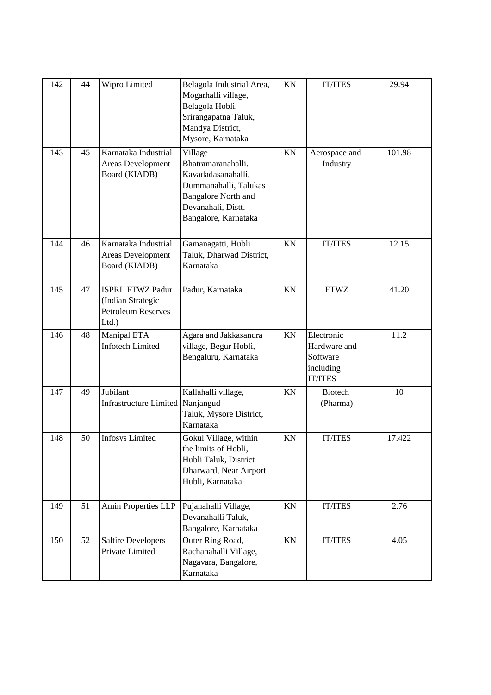| 142 | 44 | Wipro Limited                                                                      | Belagola Industrial Area,<br>Mogarhalli village,<br>Belagola Hobli,<br>Srirangapatna Taluk,<br>Mandya District,<br>Mysore, Karnataka                     | KN | <b>IT/ITES</b>                                                        | 29.94  |
|-----|----|------------------------------------------------------------------------------------|----------------------------------------------------------------------------------------------------------------------------------------------------------|----|-----------------------------------------------------------------------|--------|
| 143 | 45 | Karnataka Industrial<br>Areas Development<br>Board (KIADB)                         | Village<br>Bhatramaranahalli.<br>Kavadadasanahalli,<br>Dummanahalli, Talukas<br><b>Bangalore North and</b><br>Devanahali, Distt.<br>Bangalore, Karnataka | KN | Aerospace and<br>Industry                                             | 101.98 |
| 144 | 46 | Karnataka Industrial<br>Areas Development<br>Board (KIADB)                         | Gamanagatti, Hubli<br>Taluk, Dharwad District,<br>Karnataka                                                                                              | KN | <b>IT/ITES</b>                                                        | 12.15  |
| 145 | 47 | <b>ISPRL FTWZ Padur</b><br>(Indian Strategic<br><b>Petroleum Reserves</b><br>Ltd.) | Padur, Karnataka                                                                                                                                         | KN | <b>FTWZ</b>                                                           | 41.20  |
| 146 | 48 | Manipal ETA<br><b>Infotech Limited</b>                                             | Agara and Jakkasandra<br>village, Begur Hobli,<br>Bengaluru, Karnataka                                                                                   | KN | Electronic<br>Hardware and<br>Software<br>including<br><b>IT/ITES</b> | 11.2   |
| 147 | 49 | Jubilant<br><b>Infrastructure Limited</b>                                          | Kallahalli village,<br>Nanjangud<br>Taluk, Mysore District,<br>Karnataka                                                                                 | KN | <b>Biotech</b><br>(Pharma)                                            | 10     |
| 148 | 50 | <b>Infosys Limited</b>                                                             | Gokul Village, within<br>the limits of Hobli,<br>Hubli Taluk, District<br>Dharward, Near Airport<br>Hubli, Karnataka                                     | KN | <b>IT/ITES</b>                                                        | 17.422 |
| 149 | 51 | Amin Properties LLP                                                                | Pujanahalli Village,<br>Devanahalli Taluk,<br>Bangalore, Karnataka                                                                                       | KN | <b>IT/ITES</b>                                                        | 2.76   |
| 150 | 52 | <b>Saltire Developers</b><br>Private Limited                                       | Outer Ring Road,<br>Rachanahalli Village,<br>Nagavara, Bangalore,<br>Karnataka                                                                           | KN | <b>IT/ITES</b>                                                        | 4.05   |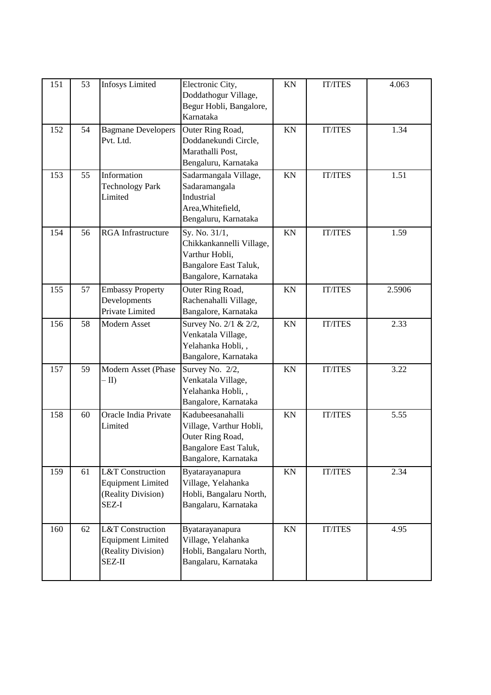| 151 | 53 | <b>Infosys Limited</b>                                                                  | Electronic City,<br>Doddathogur Village,<br>Begur Hobli, Bangalore,<br>Karnataka                                 | KN | <b>IT/ITES</b> | 4.063  |
|-----|----|-----------------------------------------------------------------------------------------|------------------------------------------------------------------------------------------------------------------|----|----------------|--------|
| 152 | 54 | <b>Bagmane Developers</b><br>Pvt. Ltd.                                                  | Outer Ring Road,<br>Doddanekundi Circle,<br>Marathalli Post,<br>Bengaluru, Karnataka                             | KN | <b>IT/ITES</b> | 1.34   |
| 153 | 55 | Information<br><b>Technology Park</b><br>Limited                                        | Sadarmangala Village,<br>Sadaramangala<br>Industrial<br>Area, Whitefield,<br>Bengaluru, Karnataka                | KN | <b>IT/ITES</b> | 1.51   |
| 154 | 56 | <b>RGA</b> Infrastructure                                                               | Sy. No. 31/1,<br>Chikkankannelli Village,<br>Varthur Hobli,<br>Bangalore East Taluk,<br>Bangalore, Karnataka     | KN | <b>IT/ITES</b> | 1.59   |
| 155 | 57 | <b>Embassy Property</b><br>Developments<br>Private Limited                              | Outer Ring Road,<br>Rachenahalli Village,<br>Bangalore, Karnataka                                                | KN | <b>IT/ITES</b> | 2.5906 |
| 156 | 58 | Modern Asset                                                                            | Survey No. 2/1 & 2/2,<br>Venkatala Village,<br>Yelahanka Hobli,,<br>Bangalore, Karnataka                         | KN | <b>IT/ITES</b> | 2.33   |
| 157 | 59 | Modern Asset (Phase<br>$-$ II)                                                          | Survey No. 2/2,<br>Venkatala Village,<br>Yelahanka Hobli,,<br>Bangalore, Karnataka                               | KN | <b>IT/ITES</b> | 3.22   |
| 158 | 60 | Oracle India Private<br>Limited                                                         | Kadubeesanahalli<br>Village, Varthur Hobli,<br>Outer Ring Road,<br>Bangalore East Taluk,<br>Bangalore, Karnataka | KN | <b>IT/ITES</b> | 5.55   |
| 159 | 61 | <b>L&amp;T</b> Construction<br><b>Equipment Limited</b><br>(Reality Division)<br>SEZ-I  | Byatarayanapura<br>Village, Yelahanka<br>Hobli, Bangalaru North,<br>Bangalaru, Karnataka                         | KN | <b>IT/ITES</b> | 2.34   |
| 160 | 62 | <b>L&amp;T</b> Construction<br><b>Equipment Limited</b><br>(Reality Division)<br>SEZ-II | Byatarayanapura<br>Village, Yelahanka<br>Hobli, Bangalaru North,<br>Bangalaru, Karnataka                         | KN | <b>IT/ITES</b> | 4.95   |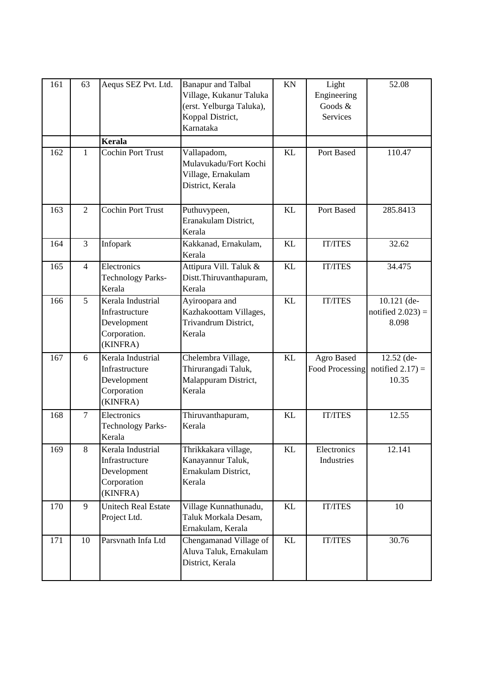| 161 | 63             | Aequs SEZ Pvt. Ltd.<br><b>Kerala</b>                                           | <b>Banapur</b> and Talbal<br>Village, Kukanur Taluka<br>(erst. Yelburga Taluka),<br>Koppal District,<br>Karnataka | KN        | Light<br>Engineering<br>Goods &<br>Services | 52.08                                        |
|-----|----------------|--------------------------------------------------------------------------------|-------------------------------------------------------------------------------------------------------------------|-----------|---------------------------------------------|----------------------------------------------|
|     |                |                                                                                |                                                                                                                   |           |                                             |                                              |
| 162 | 1              | <b>Cochin Port Trust</b>                                                       | Vallapadom,<br>Mulavukadu/Fort Kochi<br>Village, Ernakulam<br>District, Kerala                                    | KL        | Port Based                                  | 110.47                                       |
| 163 | $\overline{2}$ | <b>Cochin Port Trust</b>                                                       | Puthuvypeen,<br>Eranakulam District,<br>Kerala                                                                    | KL        | Port Based                                  | 285.8413                                     |
| 164 | $\overline{3}$ | Infopark                                                                       | Kakkanad, Ernakulam,<br>Kerala                                                                                    | <b>KL</b> | <b>IT/ITES</b>                              | 32.62                                        |
| 165 | $\overline{4}$ | Electronics<br><b>Technology Parks-</b><br>Kerala                              | Attipura Vill. Taluk &<br>Distt.Thiruvanthapuram,<br>Kerala                                                       | KL        | <b>IT/ITES</b>                              | 34.475                                       |
| 166 | 5              | Kerala Industrial<br>Infrastructure<br>Development<br>Corporation.<br>(KINFRA) | Ayiroopara and<br>Kazhakoottam Villages,<br>Trivandrum District,<br>Kerala                                        | KL        | <b>IT/ITES</b>                              | 10.121 (de-<br>notified $2.023$ ) =<br>8.098 |
| 167 | 6              | Kerala Industrial<br>Infrastructure<br>Development<br>Corporation<br>(KINFRA)  | Chelembra Village,<br>Thirurangadi Taluk,<br>Malappuram District,<br>Kerala                                       | KL        | Agro Based<br>Food Processing               | 12.52 (de-<br>notified $2.17$ ) =<br>10.35   |
| 168 | $\tau$         | Electronics<br><b>Technology Parks-</b><br>Kerala                              | Thiruvanthapuram,<br>Kerala                                                                                       | KL        | <b>IT/ITES</b>                              | 12.55                                        |
| 169 | 8              | Kerala Industrial<br>Infrastructure<br>Development<br>Corporation<br>(KINFRA)  | Thrikkakara village,<br>Kanayannur Taluk,<br>Ernakulam District,<br>Kerala                                        | KL        | Electronics<br>Industries                   | 12.141                                       |
| 170 | 9              | <b>Unitech Real Estate</b><br>Project Ltd.                                     | Village Kunnathunadu,<br>Taluk Morkala Desam,<br>Ernakulam, Kerala                                                | KL        | <b>IT/ITES</b>                              | 10                                           |
| 171 | 10             | Parsvnath Infa Ltd                                                             | Chengamanad Village of<br>Aluva Taluk, Ernakulam<br>District, Kerala                                              | KL        | <b>IT/ITES</b>                              | 30.76                                        |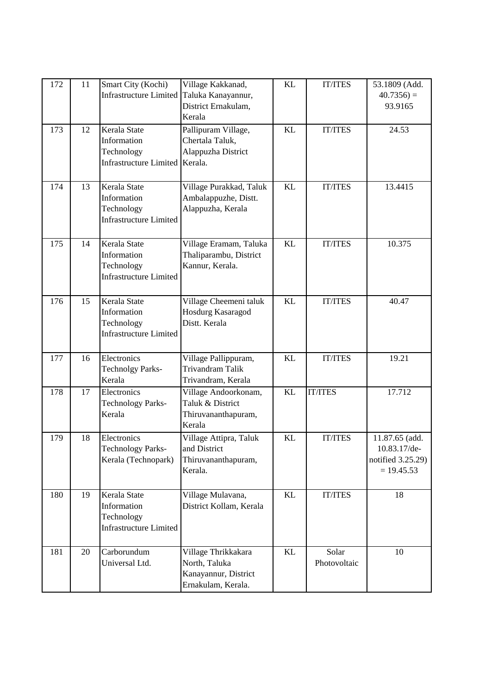| 172 | 11 | Smart City (Kochi)<br><b>Infrastructure Limited</b>                        | Village Kakkanad,<br>Taluka Kanayannur,<br>District Ernakulam,                     | KL        | <b>IT/ITES</b>        | 53.1809 (Add.<br>$40.7356 =$<br>93.9165                             |
|-----|----|----------------------------------------------------------------------------|------------------------------------------------------------------------------------|-----------|-----------------------|---------------------------------------------------------------------|
| 173 | 12 | Kerala State<br>Information<br>Technology<br><b>Infrastructure Limited</b> | Kerala<br>Pallipuram Village,<br>Chertala Taluk,<br>Alappuzha District<br>Kerala.  | KL        | <b>IT/ITES</b>        | 24.53                                                               |
| 174 | 13 | Kerala State<br>Information<br>Technology<br><b>Infrastructure Limited</b> | Village Purakkad, Taluk<br>Ambalappuzhe, Distt.<br>Alappuzha, Kerala               | KL        | <b>IT/ITES</b>        | 13.4415                                                             |
| 175 | 14 | Kerala State<br>Information<br>Technology<br><b>Infrastructure Limited</b> | Village Eramam, Taluka<br>Thaliparambu, District<br>Kannur, Kerala.                | <b>KL</b> | <b>IT/ITES</b>        | 10.375                                                              |
| 176 | 15 | Kerala State<br>Information<br>Technology<br><b>Infrastructure Limited</b> | Village Cheemeni taluk<br>Hosdurg Kasaragod<br>Distt. Kerala                       | KL        | <b>IT/ITES</b>        | 40.47                                                               |
| 177 | 16 | Electronics<br><b>Technolgy Parks-</b><br>Kerala                           | Village Pallippuram,<br>Trivandram Talik<br>Trivandram, Kerala                     | KL        | <b>IT/ITES</b>        | 19.21                                                               |
| 178 | 17 | Electronics<br><b>Technology Parks-</b><br>Kerala                          | Village Andoorkonam,<br>Taluk & District<br>Thiruvananthapuram,<br>Kerala          | <b>KL</b> | <b>IT/ITES</b>        | 17.712                                                              |
| 179 | 18 | Electronics<br><b>Technology Parks-</b><br>Kerala (Technopark)             | Village Attipra, Taluk<br>and District<br>Thiruvananthapuram,<br>Kerala.           | KL        | <b>IT/ITES</b>        | 11.87.65 (add.<br>10.83.17/de-<br>notified 3.25.29)<br>$= 19.45.53$ |
| 180 | 19 | Kerala State<br>Information<br>Technology<br><b>Infrastructure Limited</b> | Village Mulavana,<br>District Kollam, Kerala                                       | KL        | <b>IT/ITES</b>        | 18                                                                  |
| 181 | 20 | Carborundum<br>Universal Ltd.                                              | Village Thrikkakara<br>North, Taluka<br>Kanayannur, District<br>Ernakulam, Kerala. | KL        | Solar<br>Photovoltaic | 10                                                                  |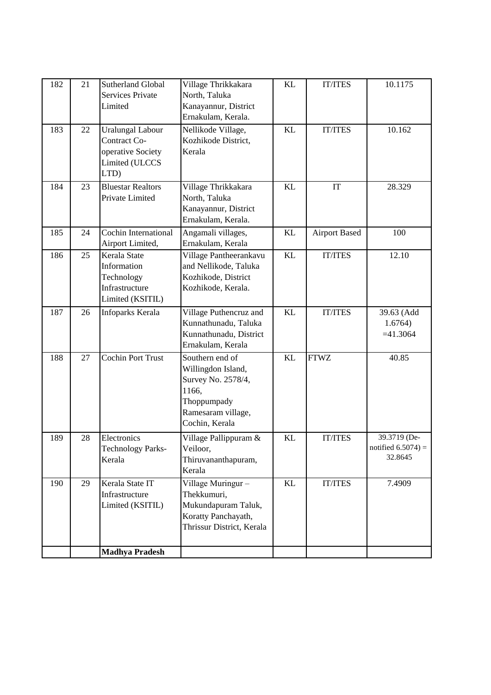| 182 | 21 | <b>Sutherland Global</b><br><b>Services Private</b><br>Limited                         | Village Thrikkakara<br>North, Taluka<br>Kanayannur, District<br>Ernakulam, Kerala.                                          | <b>KL</b> | <b>IT/ITES</b>       | 10.1175                                        |
|-----|----|----------------------------------------------------------------------------------------|-----------------------------------------------------------------------------------------------------------------------------|-----------|----------------------|------------------------------------------------|
| 183 | 22 | <b>Uralungal Labour</b><br>Contract Co-<br>operative Society<br>Limited (ULCCS<br>LTD) | Nellikode Village,<br>Kozhikode District,<br>Kerala                                                                         | <b>KL</b> | <b>IT/ITES</b>       | 10.162                                         |
| 184 | 23 | <b>Bluestar Realtors</b><br>Private Limited                                            | Village Thrikkakara<br>North, Taluka<br>Kanayannur, District<br>Ernakulam, Kerala.                                          | <b>KL</b> | IT                   | 28.329                                         |
| 185 | 24 | Cochin International<br>Airport Limited,                                               | Angamali villages,<br>Ernakulam, Kerala                                                                                     | <b>KL</b> | <b>Airport Based</b> | 100                                            |
| 186 | 25 | Kerala State<br>Information<br>Technology<br>Infrastructure<br>Limited (KSITIL)        | Village Pantheerankavu<br>and Nellikode, Taluka<br>Kozhikode, District<br>Kozhikode, Kerala.                                | <b>KL</b> | <b>IT/ITES</b>       | 12.10                                          |
| 187 | 26 | Infoparks Kerala                                                                       | Village Puthencruz and<br>Kunnathunadu, Taluka<br>Kunnathunadu, District<br>Ernakulam, Kerala                               | KL        | <b>IT/ITES</b>       | 39.63 (Add<br>1.6764)<br>$=41.3064$            |
| 188 | 27 | <b>Cochin Port Trust</b>                                                               | Southern end of<br>Willingdon Island,<br>Survey No. 2578/4,<br>1166,<br>Thoppumpady<br>Ramesaram village,<br>Cochin, Kerala | <b>KL</b> | <b>FTWZ</b>          | 40.85                                          |
| 189 | 28 | Electronics<br>Technology Parks-<br>Kerala                                             | Village Pallippuram &<br>Veiloor,<br>Thiruvananthapuram,<br>Kerala                                                          | <b>KL</b> | <b>IT/ITES</b>       | 39.3719 (De-<br>notified $6.5074$ =<br>32.8645 |
| 190 | 29 | Kerala State IT<br>Infrastructure<br>Limited (KSITIL)                                  | Village Muringur -<br>Thekkumuri,<br>Mukundapuram Taluk,<br>Koratty Panchayath,<br>Thrissur District, Kerala                | KL        | <b>IT/ITES</b>       | 7.4909                                         |
|     |    | <b>Madhya Pradesh</b>                                                                  |                                                                                                                             |           |                      |                                                |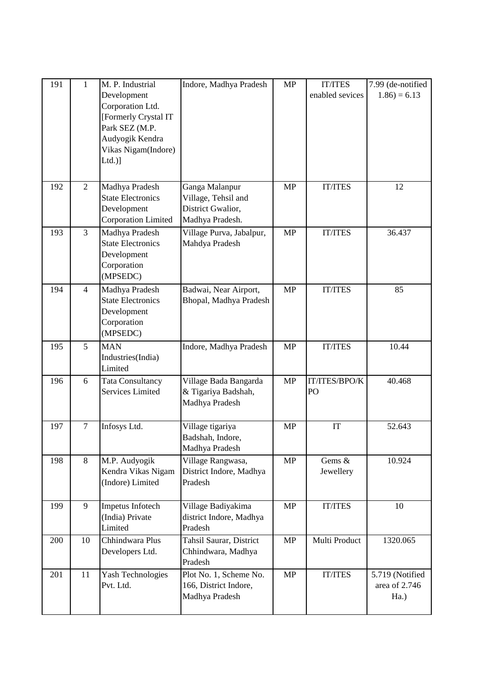| 191 | $\mathbf{1}$   | M. P. Industrial                           | Indore, Madhya Pradesh                   | <b>MP</b> | <b>IT/ITES</b>  | 7.99 (de-notified |
|-----|----------------|--------------------------------------------|------------------------------------------|-----------|-----------------|-------------------|
|     |                | Development                                |                                          |           | enabled sevices | $1.86 = 6.13$     |
|     |                | Corporation Ltd.                           |                                          |           |                 |                   |
|     |                | [Formerly Crystal IT                       |                                          |           |                 |                   |
|     |                | Park SEZ (M.P.                             |                                          |           |                 |                   |
|     |                | Audyogik Kendra                            |                                          |           |                 |                   |
|     |                | Vikas Nigam(Indore)                        |                                          |           |                 |                   |
|     |                | Ltd.]                                      |                                          |           |                 |                   |
|     |                |                                            |                                          |           |                 |                   |
| 192 | $\overline{2}$ |                                            |                                          | <b>MP</b> | <b>IT/ITES</b>  | 12                |
|     |                | Madhya Pradesh<br><b>State Electronics</b> | Ganga Malanpur                           |           |                 |                   |
|     |                |                                            | Village, Tehsil and<br>District Gwalior, |           |                 |                   |
|     |                | Development                                |                                          |           |                 |                   |
|     |                | Corporation Limited                        | Madhya Pradesh.                          |           |                 |                   |
| 193 | $\overline{3}$ | Madhya Pradesh                             | Village Purva, Jabalpur,                 | MP        | <b>IT/ITES</b>  | 36.437            |
|     |                | <b>State Electronics</b>                   | Mahdya Pradesh                           |           |                 |                   |
|     |                | Development                                |                                          |           |                 |                   |
|     |                | Corporation                                |                                          |           |                 |                   |
|     |                | (MPSEDC)                                   |                                          |           |                 |                   |
| 194 | $\overline{4}$ | Madhya Pradesh                             | Badwai, Near Airport,                    | <b>MP</b> | <b>IT/ITES</b>  | 85                |
|     |                | <b>State Electronics</b>                   | Bhopal, Madhya Pradesh                   |           |                 |                   |
|     |                | Development                                |                                          |           |                 |                   |
|     |                | Corporation                                |                                          |           |                 |                   |
|     |                | (MPSEDC)                                   |                                          |           |                 |                   |
| 195 | 5              | <b>MAN</b>                                 | Indore, Madhya Pradesh                   | <b>MP</b> | <b>IT/ITES</b>  | 10.44             |
|     |                | Industries(India)                          |                                          |           |                 |                   |
|     |                | Limited                                    |                                          |           |                 |                   |
| 196 | 6              | <b>Tata Consultancy</b>                    | Village Bada Bangarda                    | <b>MP</b> | IT/ITES/BPO/K   | 40.468            |
|     |                | Services Limited                           | & Tigariya Badshah,                      |           | PO              |                   |
|     |                |                                            | Madhya Pradesh                           |           |                 |                   |
|     |                |                                            |                                          |           |                 |                   |
| 197 | $\overline{7}$ | Infosys Ltd.                               | Village tigariya                         | <b>MP</b> | IT              | 52.643            |
|     |                |                                            | Badshah, Indore,                         |           |                 |                   |
|     |                |                                            | Madhya Pradesh                           |           |                 |                   |
| 198 | 8              | M.P. Audyogik                              | Village Rangwasa,                        | <b>MP</b> | Gems &          | 10.924            |
|     |                | Kendra Vikas Nigam                         | District Indore, Madhya                  |           | Jewellery       |                   |
|     |                | (Indore) Limited                           | Pradesh                                  |           |                 |                   |
|     |                |                                            |                                          |           |                 |                   |
| 199 | 9              | Impetus Infotech                           | Village Badiyakima                       | <b>MP</b> | <b>IT/ITES</b>  | 10                |
|     |                | (India) Private                            | district Indore, Madhya                  |           |                 |                   |
|     |                | Limited                                    | Pradesh                                  |           |                 |                   |
| 200 | 10             | Chhindwara Plus                            | Tahsil Saurar, District                  | <b>MP</b> | Multi Product   | 1320.065          |
|     |                | Developers Ltd.                            | Chhindwara, Madhya                       |           |                 |                   |
|     |                |                                            | Pradesh                                  |           |                 |                   |
| 201 | 11             | Yash Technologies                          | Plot No. 1, Scheme No.                   | <b>MP</b> | <b>IT/ITES</b>  | 5.719 (Notified   |
|     |                | Pvt. Ltd.                                  | 166, District Indore,                    |           |                 | area of 2.746     |
|     |                |                                            | Madhya Pradesh                           |           |                 | Ha.)              |
|     |                |                                            |                                          |           |                 |                   |
|     |                |                                            |                                          |           |                 |                   |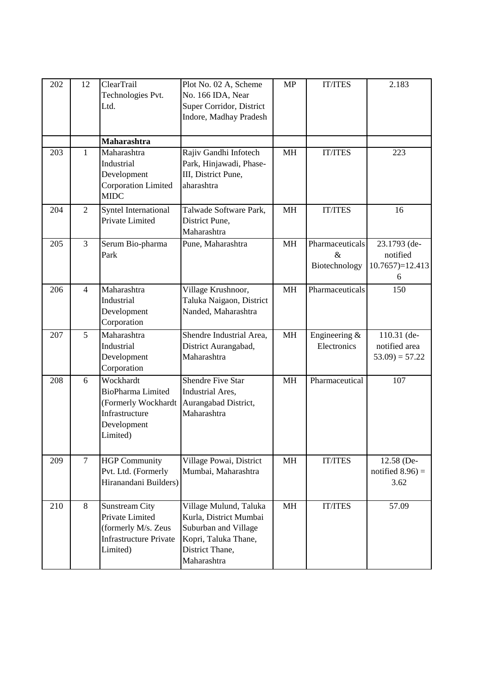| 202 | 12             | ClearTrail<br>Technologies Pvt.<br>Ltd.                                                                      | Plot No. 02 A, Scheme<br>No. 166 IDA, Near<br>Super Corridor, District<br>Indore, Madhay Pradesh                                   | <b>MP</b> | <b>IT/ITES</b>                           | 2.183                                               |
|-----|----------------|--------------------------------------------------------------------------------------------------------------|------------------------------------------------------------------------------------------------------------------------------------|-----------|------------------------------------------|-----------------------------------------------------|
|     |                | Maharashtra                                                                                                  |                                                                                                                                    |           |                                          |                                                     |
| 203 | $\mathbf{1}$   | Maharashtra<br>Industrial<br>Development<br><b>Corporation Limited</b><br><b>MIDC</b>                        | Rajiv Gandhi Infotech<br>Park, Hinjawadi, Phase-<br>III, District Pune,<br>aharashtra                                              | <b>MH</b> | <b>IT/ITES</b>                           | 223                                                 |
| 204 | $\overline{2}$ | <b>Syntel International</b><br>Private Limited                                                               | Talwade Software Park,<br>District Pune,<br>Maharashtra                                                                            | <b>MH</b> | <b>IT/ITES</b>                           | 16                                                  |
| 205 | 3              | Serum Bio-pharma<br>Park                                                                                     | Pune, Maharashtra                                                                                                                  | <b>MH</b> | Pharmaceuticals<br>$\&$<br>Biotechnology | 23.1793 (de-<br>notified<br>$10.7657 = 12.413$<br>6 |
| 206 | $\overline{4}$ | Maharashtra<br>Industrial<br>Development<br>Corporation                                                      | Village Krushnoor,<br>Taluka Naigaon, District<br>Nanded, Maharashtra                                                              | <b>MH</b> | Pharmaceuticals                          | 150                                                 |
| 207 | 5              | Maharashtra<br>Industrial<br>Development<br>Corporation                                                      | Shendre Industrial Area,<br>District Aurangabad,<br>Maharashtra                                                                    | <b>MH</b> | Engineering $&$<br>Electronics           | 110.31 (de-<br>notified area<br>$53.09$ ) = $57.22$ |
| 208 | 6              | Wockhardt<br><b>BioPharma Limited</b><br>(Formerly Wockhardt<br>Infrastructure<br>Development<br>Limited)    | <b>Shendre Five Star</b><br>Industrial Ares,<br>Aurangabad District,<br>Maharashtra                                                | <b>MH</b> | Pharmaceutical                           | 107                                                 |
| 209 | $\overline{7}$ | <b>HGP Community</b><br>Pvt. Ltd. (Formerly<br>Hiranandani Builders)                                         | Village Powai, District<br>Mumbai, Maharashtra                                                                                     | MH        | <b>IT/ITES</b>                           | 12.58 (De-<br>notified $8.96$ =<br>3.62             |
| 210 | 8              | <b>Sunstream City</b><br>Private Limited<br>(formerly M/s. Zeus<br><b>Infrastructure Private</b><br>Limited) | Village Mulund, Taluka<br>Kurla, District Mumbai<br>Suburban and Village<br>Kopri, Taluka Thane,<br>District Thane,<br>Maharashtra | MH        | <b>IT/ITES</b>                           | 57.09                                               |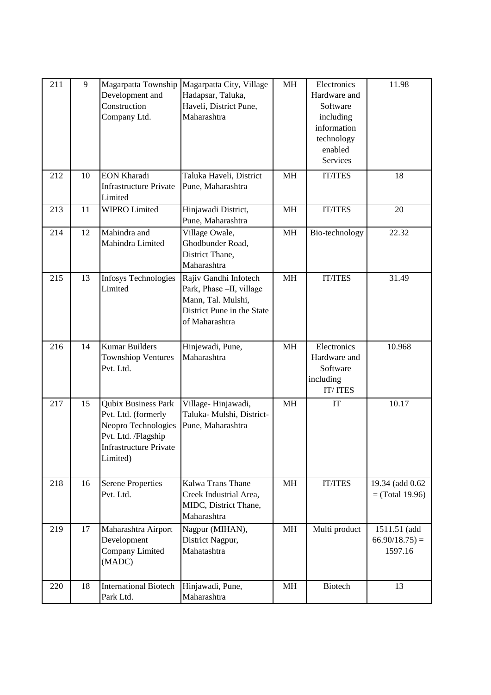| 211 | 9  | Magarpatta Township                       | Magarpatta City, Village        | MH        | Electronics          | 11.98             |
|-----|----|-------------------------------------------|---------------------------------|-----------|----------------------|-------------------|
|     |    | Development and                           | Hadapsar, Taluka,               |           | Hardware and         |                   |
|     |    | Construction                              | Haveli, District Pune,          |           | Software             |                   |
|     |    | Company Ltd.                              | Maharashtra                     |           | including            |                   |
|     |    |                                           |                                 |           | information          |                   |
|     |    |                                           |                                 |           | technology           |                   |
|     |    |                                           |                                 |           | enabled              |                   |
|     |    |                                           |                                 |           | Services             |                   |
|     |    |                                           |                                 |           |                      |                   |
| 212 | 10 | <b>EON Kharadi</b>                        | Taluka Haveli, District         | MH        | <b>IT/ITES</b>       | 18                |
|     |    | <b>Infrastructure Private</b>             | Pune, Maharashtra               |           |                      |                   |
|     |    | Limited                                   |                                 |           |                      |                   |
| 213 | 11 | <b>WIPRO Limited</b>                      | Hinjawadi District,             | MH        | <b>IT/ITES</b>       | 20                |
|     |    |                                           | Pune, Maharashtra               |           |                      |                   |
| 214 | 12 | Mahindra and                              | Village Owale,                  | MH        | Bio-technology       | 22.32             |
|     |    | Mahindra Limited                          | Ghodbunder Road,                |           |                      |                   |
|     |    |                                           | District Thane,                 |           |                      |                   |
|     |    |                                           | Maharashtra                     |           |                      |                   |
| 215 | 13 | <b>Infosys Technologies</b>               | Rajiv Gandhi Infotech           | <b>MH</b> | <b>IT/ITES</b>       | 31.49             |
|     |    | Limited                                   | Park, Phase -II, village        |           |                      |                   |
|     |    |                                           | Mann, Tal. Mulshi,              |           |                      |                   |
|     |    |                                           | District Pune in the State      |           |                      |                   |
|     |    |                                           | of Maharashtra                  |           |                      |                   |
|     |    |                                           |                                 |           |                      |                   |
|     |    |                                           |                                 |           |                      |                   |
| 216 | 14 | <b>Kumar Builders</b>                     |                                 | <b>MH</b> | Electronics          | 10.968            |
|     |    |                                           | Hinjewadi, Pune,<br>Maharashtra |           | Hardware and         |                   |
|     |    | <b>Townshiop Ventures</b>                 |                                 |           |                      |                   |
|     |    | Pvt. Ltd.                                 |                                 |           | Software             |                   |
|     |    |                                           |                                 |           | including<br>IT/ITES |                   |
|     |    |                                           |                                 |           |                      |                   |
| 217 | 15 | <b>Qubix Business Park</b>                | Village-Hinjawadi,              | MH        | IT                   | 10.17             |
|     |    | Pvt. Ltd. (formerly                       | Taluka- Mulshi, District-       |           |                      |                   |
|     |    | Neopro Technologies                       | Pune, Maharashtra               |           |                      |                   |
|     |    | Pvt. Ltd. /Flagship                       |                                 |           |                      |                   |
|     |    | <b>Infrastructure Private</b>             |                                 |           |                      |                   |
|     |    | Limited)                                  |                                 |           |                      |                   |
|     |    |                                           |                                 |           |                      |                   |
| 218 | 16 | <b>Serene Properties</b>                  | Kalwa Trans Thane               | MH        | <b>IT/ITES</b>       | 19.34 (add 0.62)  |
|     |    | Pvt. Ltd.                                 | Creek Industrial Area,          |           |                      | $=$ (Total 19.96) |
|     |    |                                           | MIDC, District Thane,           |           |                      |                   |
|     |    |                                           | Maharashtra                     |           |                      |                   |
| 219 | 17 | Maharashtra Airport                       | Nagpur (MIHAN),                 | MH        | Multi product        | 1511.51 (add      |
|     |    | Development                               | District Nagpur,                |           |                      | $66.90/18.75$ =   |
|     |    | Company Limited                           | Mahatashtra                     |           |                      | 1597.16           |
|     |    | (MADC)                                    |                                 |           |                      |                   |
|     |    |                                           |                                 |           |                      |                   |
| 220 | 18 | <b>International Biotech</b><br>Park Ltd. | Hinjawadi, Pune,<br>Maharashtra | MH        | <b>Biotech</b>       | 13                |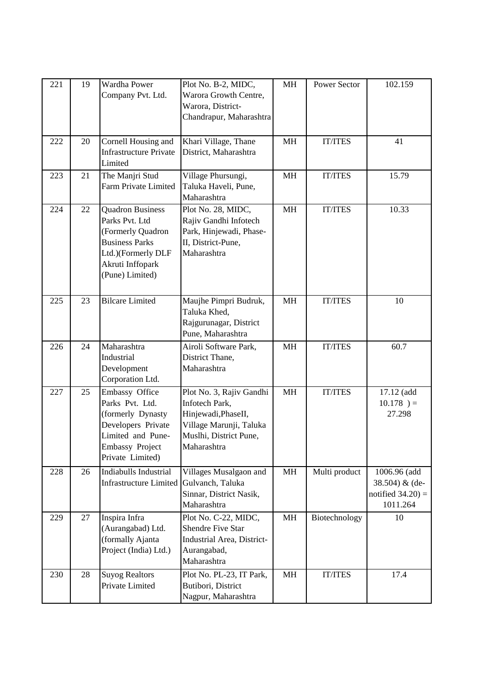| 221 | 19 | Wardha Power<br>Company Pvt. Ltd.                                                                                                                    | Plot No. B-2, MIDC,<br>Warora Growth Centre,<br>Warora, District-<br>Chandrapur, Maharashtra                                          | <b>MH</b> | <b>Power Sector</b> | 102.159                                                          |
|-----|----|------------------------------------------------------------------------------------------------------------------------------------------------------|---------------------------------------------------------------------------------------------------------------------------------------|-----------|---------------------|------------------------------------------------------------------|
| 222 | 20 | Cornell Housing and<br><b>Infrastructure Private</b><br>Limited                                                                                      | Khari Village, Thane<br>District, Maharashtra                                                                                         | <b>MH</b> | <b>IT/ITES</b>      | 41                                                               |
| 223 | 21 | The Manjri Stud<br>Farm Private Limited                                                                                                              | Village Phursungi,<br>Taluka Haveli, Pune,<br>Maharashtra                                                                             | <b>MH</b> | <b>IT/ITES</b>      | 15.79                                                            |
| 224 | 22 | <b>Quadron Business</b><br>Parks Pvt. Ltd<br>(Formerly Quadron<br><b>Business Parks</b><br>Ltd.)(Formerly DLF<br>Akruti Inffopark<br>(Pune) Limited) | Plot No. 28, MIDC,<br>Rajiv Gandhi Infotech<br>Park, Hinjewadi, Phase-<br>II, District-Pune,<br>Maharashtra                           | MH        | <b>IT/ITES</b>      | 10.33                                                            |
| 225 | 23 | <b>Bilcare Limited</b>                                                                                                                               | Maujhe Pimpri Budruk,<br>Taluka Khed,<br>Rajgurunagar, District<br>Pune, Maharashtra                                                  | <b>MH</b> | <b>IT/ITES</b>      | 10                                                               |
| 226 | 24 | Maharashtra<br>Industrial<br>Development<br>Corporation Ltd.                                                                                         | Airoli Software Park,<br>District Thane,<br>Maharashtra                                                                               | <b>MH</b> | <b>IT/ITES</b>      | 60.7                                                             |
| 227 | 25 | Embassy Office<br>Parks Pvt. Ltd.<br>(formerly Dynasty<br>Developers Private<br>Limited and Pune-<br>Embassy Project<br>Private Limited)             | Plot No. 3, Rajiv Gandhi<br>Infotech Park,<br>Hinjewadi, PhaseII,<br>Village Marunji, Taluka<br>Muslhi, District Pune,<br>Maharashtra | <b>MH</b> | <b>IT/ITES</b>      | 17.12 (add<br>$10.178$ ) =<br>27.298                             |
| 228 | 26 | Indiabulls Industrial<br><b>Infrastructure Limited</b>                                                                                               | Villages Musalgaon and<br>Gulvanch, Taluka<br>Sinnar, District Nasik,<br>Maharashtra                                                  | <b>MH</b> | Multi product       | 1006.96 (add<br>38.504) & (de-<br>notified $34.20$ =<br>1011.264 |
| 229 | 27 | Inspira Infra<br>(Aurangabad) Ltd.<br>(formally Ajanta<br>Project (India) Ltd.)                                                                      | Plot No. C-22, MIDC,<br><b>Shendre Five Star</b><br>Industrial Area, District-<br>Aurangabad,<br>Maharashtra                          | <b>MH</b> | Biotechnology       | 10                                                               |
| 230 | 28 | <b>Suyog Realtors</b><br>Private Limited                                                                                                             | Plot No. PL-23, IT Park,<br>Butibori, District<br>Nagpur, Maharashtra                                                                 | <b>MH</b> | <b>IT/ITES</b>      | 17.4                                                             |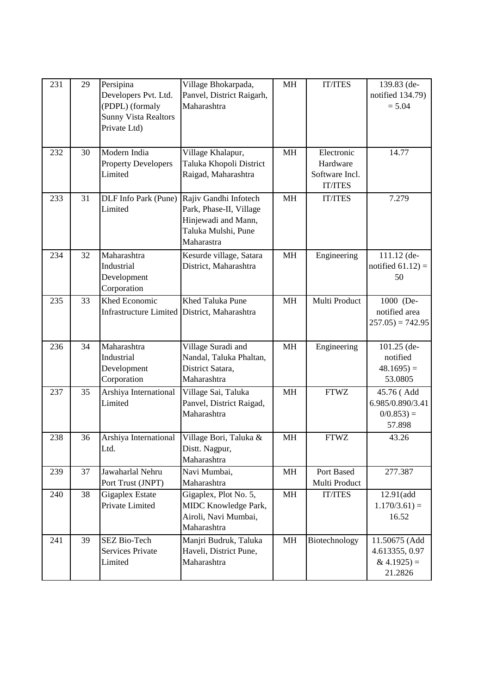| 231 | 29 | Persipina<br>Developers Pvt. Ltd.<br>(PDPL) (formaly<br><b>Sunny Vista Realtors</b><br>Private Ltd) | Village Bhokarpada,<br>Panvel, District Raigarh,<br>Maharashtra                                              | <b>MH</b> | <b>IT/ITES</b>                                             | 139.83 (de-<br>notified 134.79)<br>$= 5.04$                |
|-----|----|-----------------------------------------------------------------------------------------------------|--------------------------------------------------------------------------------------------------------------|-----------|------------------------------------------------------------|------------------------------------------------------------|
| 232 | 30 | Modern India<br><b>Property Developers</b><br>Limited                                               | Village Khalapur,<br>Taluka Khopoli District<br>Raigad, Maharashtra                                          | <b>MH</b> | Electronic<br>Hardware<br>Software Incl.<br><b>IT/ITES</b> | 14.77                                                      |
| 233 | 31 | DLF Info Park (Pune)<br>Limited                                                                     | Rajiv Gandhi Infotech<br>Park, Phase-II, Village<br>Hinjewadi and Mann,<br>Taluka Mulshi, Pune<br>Maharastra | <b>MH</b> | <b>IT/ITES</b>                                             | 7.279                                                      |
| 234 | 32 | Maharashtra<br>Industrial<br>Development<br>Corporation                                             | Kesurde village, Satara<br>District, Maharashtra                                                             | <b>MH</b> | Engineering                                                | 111.12 (de-<br>notified $61.12$ ) =<br>50                  |
| 235 | 33 | Khed Economic<br><b>Infrastructure Limited</b>                                                      | Khed Taluka Pune<br>District, Maharashtra                                                                    | <b>MH</b> | Multi Product                                              | 1000 (De-<br>notified area<br>$257.05 = 742.95$            |
| 236 | 34 | Maharashtra<br>Industrial<br>Development<br>Corporation                                             | Village Suradi and<br>Nandal, Taluka Phaltan,<br>District Satara,<br>Maharashtra                             | <b>MH</b> | Engineering                                                | 101.25 (de-<br>notified<br>$48.1695 =$<br>53.0805          |
| 237 | 35 | Arshiya International<br>Limited                                                                    | Village Sai, Taluka<br>Panvel, District Raigad,<br>Maharashtra                                               | MH        | <b>FTWZ</b>                                                | 45.76 (Add<br>6.985/0.890/3.41<br>$0/0.853$ =<br>57.898    |
| 238 | 36 | Arshiya International<br>Ltd.                                                                       | Village Bori, Taluka &<br>Distt. Nagpur,<br>Maharashtra                                                      | <b>MH</b> | <b>FTWZ</b>                                                | 43.26                                                      |
| 239 | 37 | Jawaharlal Nehru<br>Port Trust (JNPT)                                                               | Navi Mumbai,<br>Maharashtra                                                                                  | <b>MH</b> | Port Based<br>Multi Product                                | 277.387                                                    |
| 240 | 38 | Gigaplex Estate<br>Private Limited                                                                  | Gigaplex, Plot No. 5,<br>MIDC Knowledge Park,<br>Airoli, Navi Mumbai,<br>Maharashtra                         | <b>MH</b> | <b>IT/ITES</b>                                             | 12.91(add<br>$1.170/3.61$ =<br>16.52                       |
| 241 | 39 | <b>SEZ Bio-Tech</b><br>Services Private<br>Limited                                                  | Manjri Budruk, Taluka<br>Haveli, District Pune,<br>Maharashtra                                               | <b>MH</b> | Biotechnology                                              | 11.50675 (Add<br>4.613355, 0.97<br>$& 4.1925 =$<br>21.2826 |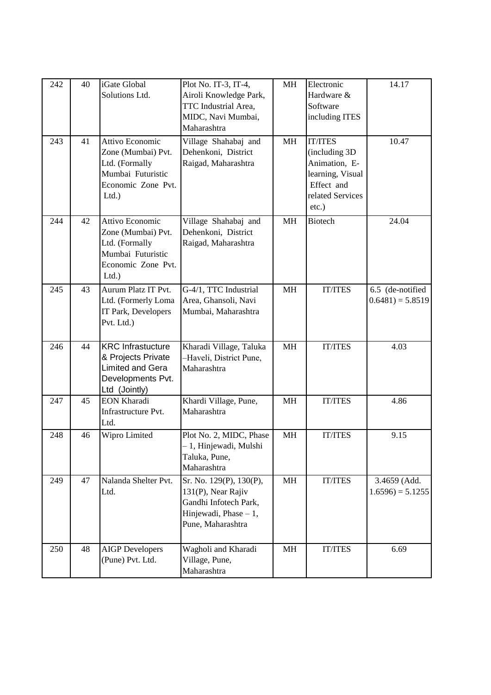| 242 | 40 | iGate Global<br>Solutions Ltd.                                                                                 | Plot No. IT-3, IT-4,<br>Airoli Knowledge Park,<br>TTC Industrial Area,<br>MIDC, Navi Mumbai,<br>Maharashtra            | <b>MH</b> | Electronic<br>Hardware &<br>Software<br>including ITES                                                          | 14.17                                 |
|-----|----|----------------------------------------------------------------------------------------------------------------|------------------------------------------------------------------------------------------------------------------------|-----------|-----------------------------------------------------------------------------------------------------------------|---------------------------------------|
| 243 | 41 | Attivo Economic<br>Zone (Mumbai) Pvt.<br>Ltd. (Formally<br>Mumbai Futuristic<br>Economic Zone Pvt.<br>$Ltd.$ ) | Village Shahabaj and<br>Dehenkoni, District<br>Raigad, Maharashtra                                                     | MH        | <b>IT/ITES</b><br>(including 3D<br>Animation, E-<br>learning, Visual<br>Effect and<br>related Services<br>etc.) | 10.47                                 |
| 244 | 42 | Attivo Economic<br>Zone (Mumbai) Pvt.<br>Ltd. (Formally<br>Mumbai Futuristic<br>Economic Zone Pvt.<br>$Ltd.$ ) | Village Shahabaj and<br>Dehenkoni, District<br>Raigad, Maharashtra                                                     | <b>MH</b> | <b>Biotech</b>                                                                                                  | 24.04                                 |
| 245 | 43 | Aurum Platz IT Pvt.<br>Ltd. (Formerly Loma<br>IT Park, Developers<br>Pvt. Ltd.)                                | G-4/1, TTC Industrial<br>Area, Ghansoli, Navi<br>Mumbai, Maharashtra                                                   | <b>MH</b> | <b>IT/ITES</b>                                                                                                  | 6.5 (de-notified<br>$0.6481 = 5.8519$ |
| 246 | 44 | <b>KRC</b> Infrastucture<br>& Projects Private<br>Limited and Gera<br>Developments Pvt.<br>Ltd (Jointly)       | Kharadi Village, Taluka<br>-Haveli, District Pune,<br>Maharashtra                                                      | <b>MH</b> | <b>IT/ITES</b>                                                                                                  | 4.03                                  |
| 247 | 45 | <b>EON Kharadi</b><br>Infrastructure Pvt.<br>Ltd.                                                              | Khardi Village, Pune,<br>Maharashtra                                                                                   | MH        | <b>IT/ITES</b>                                                                                                  | 4.86                                  |
| 248 | 46 | Wipro Limited                                                                                                  | Plot No. 2, MIDC, Phase<br>- 1, Hinjewadi, Mulshi<br>Taluka, Pune,<br>Maharashtra                                      | <b>MH</b> | <b>IT/ITES</b>                                                                                                  | 9.15                                  |
| 249 | 47 | Nalanda Shelter Pvt.<br>Ltd.                                                                                   | Sr. No. 129(P), 130(P),<br>131(P), Near Rajiv<br>Gandhi Infotech Park,<br>Hinjewadi, Phase $-1$ ,<br>Pune, Maharashtra | <b>MH</b> | <b>IT/ITES</b>                                                                                                  | 3.4659 (Add.<br>$1.6596 = 5.1255$     |
| 250 | 48 | <b>AIGP</b> Developers<br>(Pune) Pvt. Ltd.                                                                     | Wagholi and Kharadi<br>Village, Pune,<br>Maharashtra                                                                   | <b>MH</b> | <b>IT/ITES</b>                                                                                                  | 6.69                                  |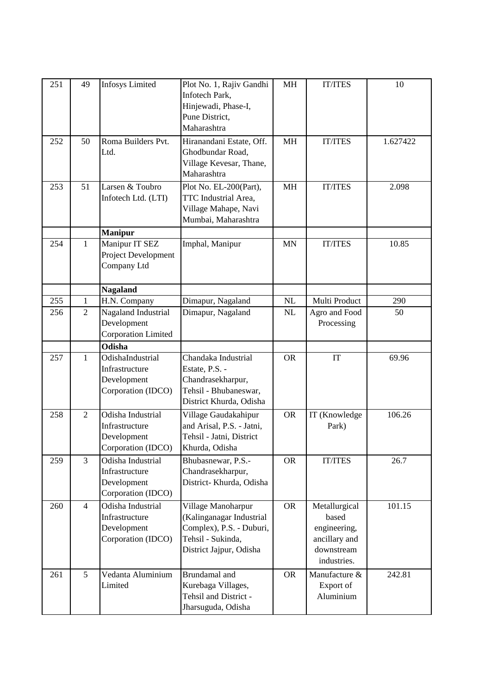| 251        | 49                  | <b>Infosys Limited</b>                                                    | Plot No. 1, Rajiv Gandhi<br>Infotech Park,<br>Hinjewadi, Phase-I,<br>Pune District,                                        | MH        | <b>IT/ITES</b>                                                                       | 10        |
|------------|---------------------|---------------------------------------------------------------------------|----------------------------------------------------------------------------------------------------------------------------|-----------|--------------------------------------------------------------------------------------|-----------|
| 252        | 50                  | Roma Builders Pvt.<br>Ltd.                                                | Maharashtra<br>Hiranandani Estate, Off.<br>Ghodbundar Road,<br>Village Kevesar, Thane,<br>Maharashtra                      | MH        | <b>IT/ITES</b>                                                                       | 1.627422  |
| 253        | 51                  | Larsen & Toubro<br>Infotech Ltd. (LTI)                                    | Plot No. EL-200(Part),<br>TTC Industrial Area,<br>Village Mahape, Navi<br>Mumbai, Maharashtra                              | <b>MH</b> | <b>IT/ITES</b>                                                                       | 2.098     |
| 254        | 1                   | <b>Manipur</b><br>Manipur IT SEZ<br>Project Development<br>Company Ltd    | Imphal, Manipur                                                                                                            | <b>MN</b> | <b>IT/ITES</b>                                                                       | 10.85     |
|            |                     | <b>Nagaland</b>                                                           |                                                                                                                            |           |                                                                                      |           |
| 255<br>256 | 1<br>$\overline{2}$ | H.N. Company<br>Nagaland Industrial<br>Development<br>Corporation Limited | Dimapur, Nagaland<br>Dimapur, Nagaland                                                                                     | NL<br>NL  | Multi Product<br>Agro and Food<br>Processing                                         | 290<br>50 |
|            |                     | Odisha                                                                    |                                                                                                                            |           |                                                                                      |           |
| 257        | $\mathbf{1}$        | OdishaIndustrial<br>Infrastructure<br>Development<br>Corporation (IDCO)   | Chandaka Industrial<br>Estate, P.S. -<br>Chandrasekharpur,<br>Tehsil - Bhubaneswar,<br>District Khurda, Odisha             | <b>OR</b> | IT                                                                                   | 69.96     |
| 258        | $\overline{2}$      | Odisha Industrial<br>Infrastructure<br>Development<br>Corporation (IDCO)  | Village Gaudakahipur<br>and Arisal, P.S. - Jatni,<br>Tehsil - Jatni, District<br>Khurda, Odisha                            | <b>OR</b> | IT (Knowledge<br>Park)                                                               | 106.26    |
| 259        | $\overline{3}$      | Odisha Industrial<br>Infrastructure<br>Development<br>Corporation (IDCO)  | Bhubasnewar, P.S.-<br>Chandrasekharpur,<br>District- Khurda, Odisha                                                        | <b>OR</b> | <b>IT/ITES</b>                                                                       | 26.7      |
| 260        | $\overline{4}$      | Odisha Industrial<br>Infrastructure<br>Development<br>Corporation (IDCO)  | Village Manoharpur<br>(Kalinganagar Industrial<br>Complex), P.S. - Duburi,<br>Tehsil - Sukinda,<br>District Jajpur, Odisha | <b>OR</b> | Metallurgical<br>based<br>engineering,<br>ancillary and<br>downstream<br>industries. | 101.15    |
| 261        | 5                   | Vedanta Aluminium<br>Limited                                              | Brundamal and<br>Kurebaga Villages,<br>Tehsil and District -<br>Jharsuguda, Odisha                                         | <b>OR</b> | Manufacture &<br>Export of<br>Aluminium                                              | 242.81    |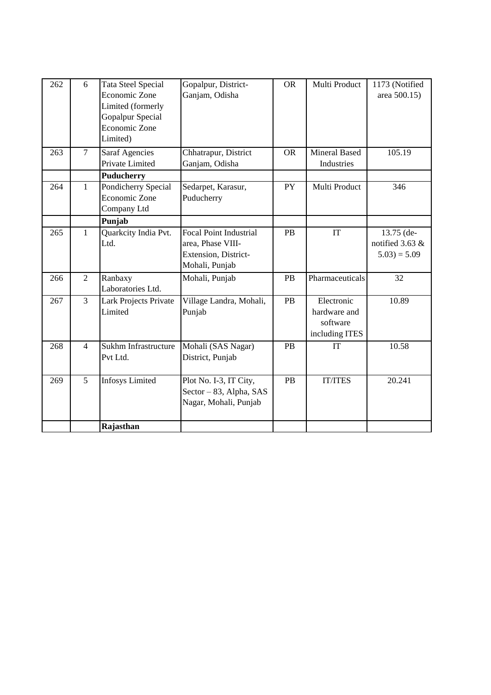| 262 | 6              | <b>Tata Steel Special</b><br>Economic Zone<br>Limited (formerly<br>Gopalpur Special<br>Economic Zone<br>Limited) | Gopalpur, District-<br>Ganjam, Odisha                                                        | <b>OR</b> | Multi Product                                            | 1173 (Notified<br>area 500.15)                      |
|-----|----------------|------------------------------------------------------------------------------------------------------------------|----------------------------------------------------------------------------------------------|-----------|----------------------------------------------------------|-----------------------------------------------------|
| 263 | $\overline{7}$ | <b>Saraf Agencies</b><br>Private Limited                                                                         | Chhatrapur, District<br>Ganjam, Odisha                                                       | <b>OR</b> | <b>Mineral Based</b><br>Industries                       | 105.19                                              |
|     |                | <b>Puducherry</b>                                                                                                |                                                                                              |           |                                                          |                                                     |
| 264 | 1              | Pondicherry Special<br>Economic Zone<br>Company Ltd                                                              | Sedarpet, Karasur,<br>Puducherry                                                             | PY        | Multi Product                                            | 346                                                 |
|     |                | Punjab                                                                                                           |                                                                                              |           |                                                          |                                                     |
| 265 | $\mathbf{1}$   | Quarkcity India Pvt.<br>Ltd.                                                                                     | <b>Focal Point Industrial</b><br>area, Phase VIII-<br>Extension, District-<br>Mohali, Punjab | PB        | IT                                                       | 13.75 (de-<br>notified $3.63 \&$<br>$5.03$ ) = 5.09 |
| 266 | $\overline{2}$ | Ranbaxy<br>Laboratories Ltd.                                                                                     | Mohali, Punjab                                                                               | PB        | Pharmaceuticals                                          | 32                                                  |
| 267 | $\overline{3}$ | Lark Projects Private<br>Limited                                                                                 | Village Landra, Mohali,<br>Punjab                                                            | PB        | Electronic<br>hardware and<br>software<br>including ITES | 10.89                                               |
| 268 | $\overline{4}$ | Sukhm Infrastructure<br>Pvt Ltd.                                                                                 | Mohali (SAS Nagar)<br>District, Punjab                                                       | PB        | IT                                                       | 10.58                                               |
| 269 | 5              | <b>Infosys Limited</b>                                                                                           | Plot No. I-3, IT City,<br>Sector - 83, Alpha, SAS<br>Nagar, Mohali, Punjab                   | PB        | <b>IT/ITES</b>                                           | 20.241                                              |
|     |                | Rajasthan                                                                                                        |                                                                                              |           |                                                          |                                                     |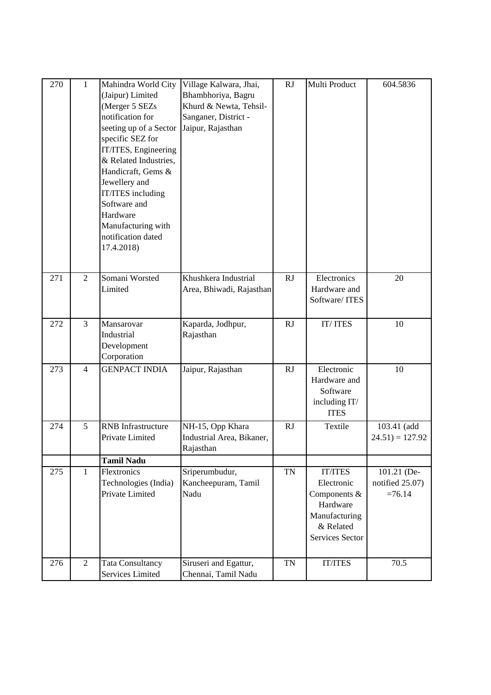| 270 | 1              | Mahindra World City<br>(Jaipur) Limited<br>(Merger 5 SEZs<br>notification for<br>seeting up of a Sector<br>specific SEZ for<br>IT/ITES, Engineering<br>& Related Industries,<br>Handicraft, Gems &<br>Jewellery and<br>IT/ITES including<br>Software and<br>Hardware<br>Manufacturing with<br>notification dated<br>17.4.2018) | Village Kalwara, Jhai,<br>Bhambhoriya, Bagru<br>Khurd & Newta, Tehsil-<br>Sanganer, District -<br>Jaipur, Rajasthan | <b>RJ</b> | Multi Product                                                                                             | 604.5836                                   |
|-----|----------------|--------------------------------------------------------------------------------------------------------------------------------------------------------------------------------------------------------------------------------------------------------------------------------------------------------------------------------|---------------------------------------------------------------------------------------------------------------------|-----------|-----------------------------------------------------------------------------------------------------------|--------------------------------------------|
| 271 | $\overline{2}$ | Somani Worsted<br>Limited                                                                                                                                                                                                                                                                                                      | Khushkera Industrial<br>Area, Bhiwadi, Rajasthan                                                                    | <b>RJ</b> | Electronics<br>Hardware and<br>Software/ ITES                                                             | 20                                         |
| 272 | $\overline{3}$ | Mansarovar<br>Industrial<br>Development<br>Corporation                                                                                                                                                                                                                                                                         | Kaparda, Jodhpur,<br>Rajasthan                                                                                      | <b>RJ</b> | IT/ITES                                                                                                   | 10                                         |
| 273 | $\overline{4}$ | <b>GENPACT INDIA</b>                                                                                                                                                                                                                                                                                                           | Jaipur, Rajasthan                                                                                                   | <b>RJ</b> | Electronic<br>Hardware and<br>Software<br>including IT/<br><b>ITES</b>                                    | 10                                         |
| 274 | 5              | <b>RNB</b> Infrastructure<br>Private Limited                                                                                                                                                                                                                                                                                   | NH-15, Opp Khara<br>Industrial Area, Bikaner,<br>Rajasthan                                                          | <b>RJ</b> | Textile                                                                                                   | 103.41 (add<br>$24.51 = 127.92$            |
|     |                | <b>Tamil Nadu</b>                                                                                                                                                                                                                                                                                                              |                                                                                                                     |           |                                                                                                           |                                            |
| 275 | $\mathbf{1}$   | Flextronics<br>Technologies (India)<br>Private Limited                                                                                                                                                                                                                                                                         | Sriperumbudur,<br>Kancheepuram, Tamil<br>Nadu                                                                       | <b>TN</b> | <b>IT/ITES</b><br>Electronic<br>Components &<br>Hardware<br>Manufacturing<br>& Related<br>Services Sector | 101.21 (De-<br>notified 25.07)<br>$=76.14$ |
| 276 | $\mathbf{2}$   | <b>Tata Consultancy</b><br>Services Limited                                                                                                                                                                                                                                                                                    | Siruseri and Egattur,<br>Chennai, Tamil Nadu                                                                        | <b>TN</b> | <b>IT/ITES</b>                                                                                            | 70.5                                       |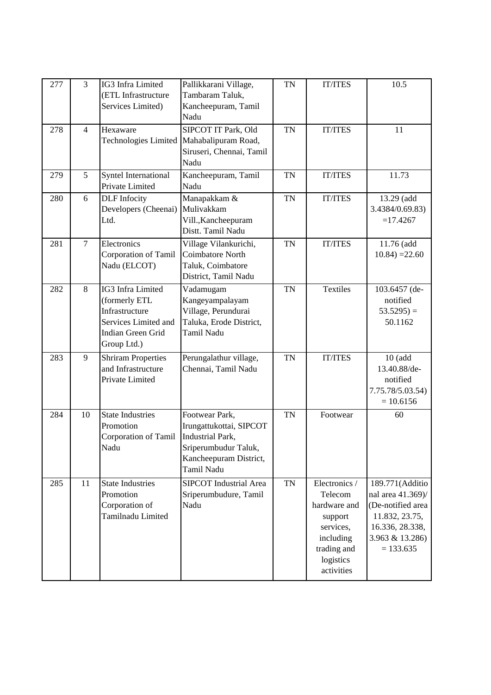| 277 | 3              | IG3 Infra Limited<br>(ETL Infrastructure<br>Services Limited)                                                    | Pallikkarani Village,<br>Tambaram Taluk,<br>Kancheepuram, Tamil<br>Nadu                                                              | TN        | <b>IT/ITES</b>                                                                                                          | 10.5                                                                                                                             |
|-----|----------------|------------------------------------------------------------------------------------------------------------------|--------------------------------------------------------------------------------------------------------------------------------------|-----------|-------------------------------------------------------------------------------------------------------------------------|----------------------------------------------------------------------------------------------------------------------------------|
| 278 | $\overline{4}$ | Hexaware<br><b>Technologies Limited</b>                                                                          | SIPCOT IT Park, Old<br>Mahabalipuram Road,<br>Siruseri, Chennai, Tamil<br>Nadu                                                       | <b>TN</b> | <b>IT/ITES</b>                                                                                                          | 11                                                                                                                               |
| 279 | 5              | <b>Syntel International</b><br>Private Limited                                                                   | Kancheepuram, Tamil<br>Nadu                                                                                                          | TN        | <b>IT/ITES</b>                                                                                                          | 11.73                                                                                                                            |
| 280 | 6              | <b>DLF</b> Infocity<br>Developers (Cheenai)<br>Ltd.                                                              | Manapakkam &<br>Mulivakkam<br>Vill., Kancheepuram<br>Distt. Tamil Nadu                                                               | <b>TN</b> | <b>IT/ITES</b>                                                                                                          | 13.29 (add<br>3.4384/0.69.83)<br>$=17.4267$                                                                                      |
| 281 | $\overline{7}$ | Electronics<br>Corporation of Tamil<br>Nadu (ELCOT)                                                              | Village Vilankurichi,<br>Coimbatore North<br>Taluk, Coimbatore<br>District, Tamil Nadu                                               | <b>TN</b> | <b>IT/ITES</b>                                                                                                          | 11.76 (add<br>$10.84$ ) = 22.60                                                                                                  |
| 282 | 8              | IG3 Infra Limited<br>(formerly ETL<br>Infrastructure<br>Services Limited and<br>Indian Green Grid<br>Group Ltd.) | Vadamugam<br>Kangeyampalayam<br>Village, Perundurai<br>Taluka, Erode District,<br>Tamil Nadu                                         | TN        | <b>Textiles</b>                                                                                                         | 103.6457 (de-<br>notified<br>$53.5295 =$<br>50.1162                                                                              |
| 283 | 9              | <b>Shriram Properties</b><br>and Infrastructure<br>Private Limited                                               | Perungalathur village,<br>Chennai, Tamil Nadu                                                                                        | <b>TN</b> | <b>IT/ITES</b>                                                                                                          | $10$ (add<br>13.40.88/de-<br>notified<br>7.75.78/5.03.54)<br>$= 10.6156$                                                         |
| 284 | 10             | <b>State Industries</b><br>Promotion<br>Corporation of Tamil<br>Nadu                                             | Footwear Park,<br>Irungattukottai, SIPCOT<br>Industrial Park,<br>Sriperumbudur Taluk,<br>Kancheepuram District,<br><b>Tamil Nadu</b> | <b>TN</b> | Footwear                                                                                                                | 60                                                                                                                               |
| 285 | 11             | <b>State Industries</b><br>Promotion<br>Corporation of<br>Tamilnadu Limited                                      | <b>SIPCOT</b> Industrial Area<br>Sriperumbudure, Tamil<br>Nadu                                                                       | TN        | Electronics /<br>Telecom<br>hardware and<br>support<br>services,<br>including<br>trading and<br>logistics<br>activities | 189.771(Additio<br>nal area 41.369)/<br>(De-notified area<br>11.832, 23.75,<br>16.336, 28.338,<br>3.963 & 13.286)<br>$= 133.635$ |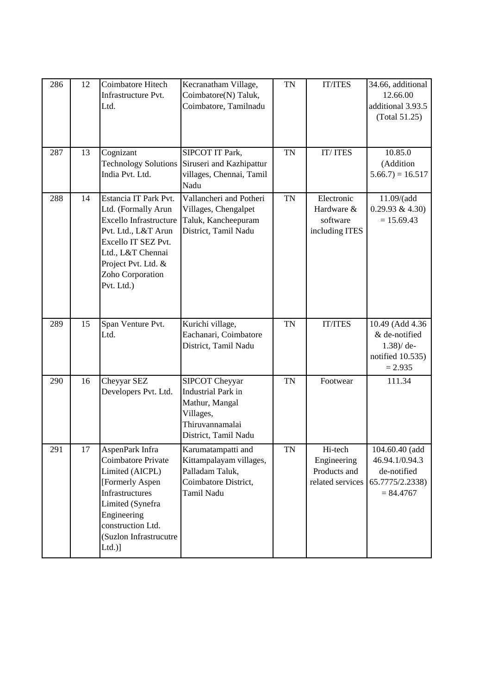| 286<br>287 | 12<br>13 | Coimbatore Hitech<br>Infrastructure Pvt.<br>Ltd.<br>Cognizant                                                                                                                                             | Kecranatham Village,<br>Coimbatore(N) Taluk,<br>Coimbatore, Tamilnadu<br>SIPCOT IT Park,                              | <b>TN</b><br><b>TN</b> | <b>IT/ITES</b><br>IT/ITES                                  | 34.66, additional<br>12.66.00<br>additional 3.93.5<br>(Total 51.25)<br>10.85.0      |
|------------|----------|-----------------------------------------------------------------------------------------------------------------------------------------------------------------------------------------------------------|-----------------------------------------------------------------------------------------------------------------------|------------------------|------------------------------------------------------------|-------------------------------------------------------------------------------------|
|            |          | <b>Technology Solutions</b><br>India Pvt. Ltd.                                                                                                                                                            | Siruseri and Kazhipattur<br>villages, Chennai, Tamil<br>Nadu                                                          |                        |                                                            | (Addition<br>$5.66.7 = 16.517$                                                      |
| 288        | 14       | Estancia IT Park Pvt.<br>Ltd. (Formally Arun<br><b>Excello Infrastructure</b><br>Pvt. Ltd., L&T Arun<br>Excello IT SEZ Pvt.<br>Ltd., L&T Chennai<br>Project Pvt. Ltd. &<br>Zoho Corporation<br>Pvt. Ltd.) | Vallancheri and Potheri<br>Villages, Chengalpet<br>Taluk, Kancheepuram<br>District, Tamil Nadu                        | <b>TN</b>              | Electronic<br>Hardware &<br>software<br>including ITES     | 11.09/(add<br>0.29.93 & 4.30<br>$= 15.69.43$                                        |
| 289        | 15       | Span Venture Pvt.<br>Ltd.                                                                                                                                                                                 | Kurichi village,<br>Eachanari, Coimbatore<br>District, Tamil Nadu                                                     | <b>TN</b>              | <b>IT/ITES</b>                                             | 10.49 (Add 4.36)<br>& de-notified<br>$1.38$ )/ de-<br>notified 10.535)<br>$= 2.935$ |
| 290        | 16       | Cheyyar SEZ<br>Developers Pvt. Ltd.                                                                                                                                                                       | SIPCOT Cheyyar<br><b>Industrial Park in</b><br>Mathur, Mangal<br>Villages,<br>Thiruvannamalai<br>District, Tamil Nadu | <b>TN</b>              | Footwear                                                   | 111.34                                                                              |
| 291        | 17       | AspenPark Infra<br>Coimbatore Private<br>Limited (AICPL)<br>[Formerly Aspen<br>Infrastructures<br>Limited (Synefra<br>Engineering<br>construction Ltd.<br>(Suzlon Infrastrucutre<br>Ltd.)                 | Karumatampatti and<br>Kittampalayam villages,<br>Palladam Taluk,<br>Coimbatore District,<br>Tamil Nadu                | ΤN                     | Hi-tech<br>Engineering<br>Products and<br>related services | $104.60.40$ (add<br>46.94.1/0.94.3<br>de-notified<br>65.7775/2.2338)<br>$= 84.4767$ |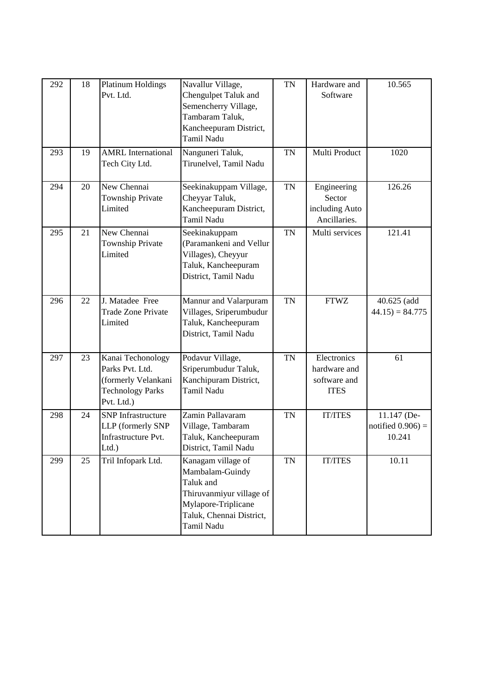| 292 | 18 | <b>Platinum Holdings</b><br>Pvt. Ltd.                                                                | Navallur Village,<br>Chengulpet Taluk and<br>Semencherry Village,<br>Tambaram Taluk,<br>Kancheepuram District,<br>Tamil Nadu                    | TN        | Hardware and<br>Software                                   | 10.565                                      |
|-----|----|------------------------------------------------------------------------------------------------------|-------------------------------------------------------------------------------------------------------------------------------------------------|-----------|------------------------------------------------------------|---------------------------------------------|
| 293 | 19 | <b>AMRL</b> International<br>Tech City Ltd.                                                          | Nanguneri Taluk,<br>Tirunelvel, Tamil Nadu                                                                                                      | <b>TN</b> | Multi Product                                              | 1020                                        |
| 294 | 20 | New Chennai<br><b>Township Private</b><br>Limited                                                    | Seekinakuppam Village,<br>Cheyyar Taluk,<br>Kancheepuram District,<br>Tamil Nadu                                                                | <b>TN</b> | Engineering<br>Sector<br>including Auto<br>Ancillaries.    | 126.26                                      |
| 295 | 21 | New Chennai<br><b>Township Private</b><br>Limited                                                    | Seekinakuppam<br>(Paramankeni and Vellur<br>Villages), Cheyyur<br>Taluk, Kancheepuram<br>District, Tamil Nadu                                   | <b>TN</b> | Multi services                                             | 121.41                                      |
| 296 | 22 | J. Matadee Free<br><b>Trade Zone Private</b><br>Limited                                              | Mannur and Valarpuram<br>Villages, Sriperumbudur<br>Taluk, Kancheepuram<br>District, Tamil Nadu                                                 | <b>TN</b> | <b>FTWZ</b>                                                | 40.625 (add<br>$44.15 = 84.775$             |
| 297 | 23 | Kanai Techonology<br>Parks Pvt. Ltd.<br>(formerly Velankani<br><b>Technology Parks</b><br>Pvt. Ltd.) | Podavur Village,<br>Sriperumbudur Taluk,<br>Kanchipuram District,<br>Tamil Nadu                                                                 | <b>TN</b> | Electronics<br>hardware and<br>software and<br><b>ITES</b> | 61                                          |
| 298 | 24 | <b>SNP</b> Infrastructure<br>LLP (formerly SNP<br>Infrastructure Pvt.<br>Ltd.)                       | Zamin Pallavaram<br>Village, Tambaram<br>Taluk, Kancheepuram<br>District, Tamil Nadu                                                            | <b>TN</b> | <b>IT/ITES</b>                                             | 11.147 (De-<br>notified $0.906$ =<br>10.241 |
| 299 | 25 | Tril Infopark Ltd.                                                                                   | Kanagam village of<br>Mambalam-Guindy<br>Taluk and<br>Thiruvanmiyur village of<br>Mylapore-Triplicane<br>Taluk, Chennai District,<br>Tamil Nadu | TN        | <b>IT/ITES</b>                                             | 10.11                                       |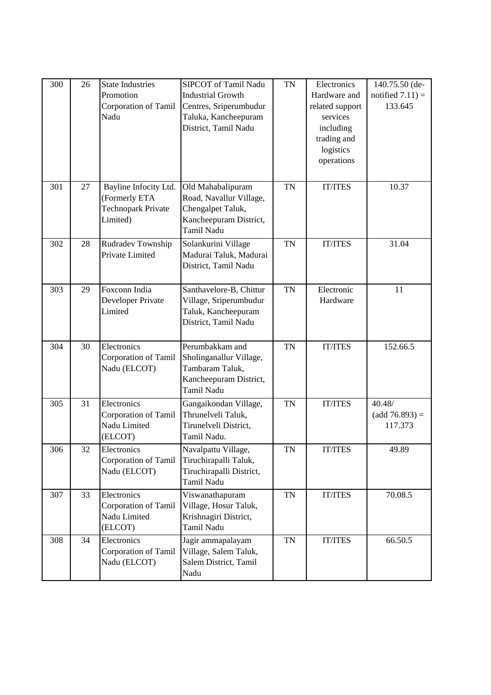| 300 | 26 | <b>State Industries</b><br>Promotion<br>Corporation of Tamil<br>Nadu            | SIPCOT of Tamil Nadu<br><b>Industrial Growth</b><br>Centres, Sriperumbudur<br>Taluka, Kancheepuram<br>District, Tamil Nadu | <b>TN</b> | Electronics<br>Hardware and<br>related support<br>services<br>including<br>trading and<br>logistics<br>operations | 140.75.50 (de-<br>notified $7.11$ ) =<br>133.645 |
|-----|----|---------------------------------------------------------------------------------|----------------------------------------------------------------------------------------------------------------------------|-----------|-------------------------------------------------------------------------------------------------------------------|--------------------------------------------------|
| 301 | 27 | Bayline Infocity Ltd.<br>(Formerly ETA<br><b>Technopark Private</b><br>Limited) | Old Mahabalipuram<br>Road, Navallur Village,<br>Chengalpet Taluk,<br>Kancheepuram District,<br>Tamil Nadu                  | <b>TN</b> | <b>IT/ITES</b>                                                                                                    | 10.37                                            |
| 302 | 28 | Rudradev Township<br>Private Limited                                            | Solankurini Village<br>Madurai Taluk, Madurai<br>District, Tamil Nadu                                                      | <b>TN</b> | <b>IT/ITES</b>                                                                                                    | 31.04                                            |
| 303 | 29 | Foxconn India<br>Developer Private<br>Limited                                   | Santhavelore-B, Chittur<br>Village, Sriperumbudur<br>Taluk, Kancheepuram<br>District, Tamil Nadu                           | <b>TN</b> | Electronic<br>Hardware                                                                                            | 11                                               |
| 304 | 30 | Electronics<br>Corporation of Tamil<br>Nadu (ELCOT)                             | Perumbakkam and<br>Sholinganallur Village,<br>Tambaram Taluk,<br>Kancheepuram District,<br><b>Tamil Nadu</b>               | <b>TN</b> | <b>IT/ITES</b>                                                                                                    | 152.66.5                                         |
| 305 | 31 | Electronics<br>Corporation of Tamil<br>Nadu Limited<br>(ELCOT)                  | Gangaikondan Village,<br>Thrunelveli Taluk,<br>Tirunelveli District,<br>Tamil Nadu.                                        | <b>TN</b> | <b>IT/ITES</b>                                                                                                    | 40.48/<br>$(add 76.893) =$<br>117.373            |
| 306 | 32 | Electronics<br>Corporation of Tamil<br>Nadu (ELCOT)                             | Navalpattu Village,<br>Tiruchirapalli Taluk,<br>Tiruchirapalli District,<br>Tamil Nadu                                     | TN        | <b>IT/ITES</b>                                                                                                    | 49.89                                            |
| 307 | 33 | Electronics<br>Corporation of Tamil<br>Nadu Limited<br>(ELCOT)                  | Viswanathapuram<br>Village, Hosur Taluk,<br>Krishnagiri District,<br>Tamil Nadu                                            | <b>TN</b> | <b>IT/ITES</b>                                                                                                    | 70.08.5                                          |
| 308 | 34 | Electronics<br>Corporation of Tamil<br>Nadu (ELCOT)                             | Jagir ammapalayam<br>Village, Salem Taluk,<br>Salem District, Tamil<br>Nadu                                                | <b>TN</b> | <b>IT/ITES</b>                                                                                                    | 66.50.5                                          |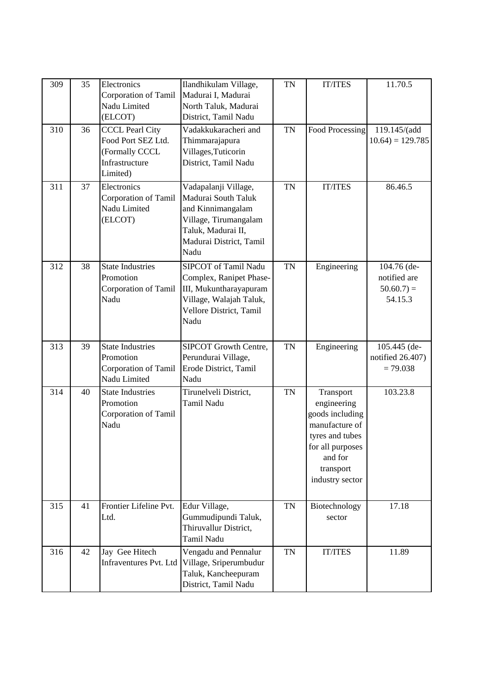| 309 | 35 | Electronics<br>Corporation of Tamil<br>Nadu Limited<br>(ELCOT)                        | Ilandhikulam Village,<br>Madurai I, Madurai<br>North Taluk, Madurai<br>District, Tamil Nadu                                                        | <b>TN</b> | <b>IT/ITES</b>                                                                                                                                  | 11.70.5                                               |
|-----|----|---------------------------------------------------------------------------------------|----------------------------------------------------------------------------------------------------------------------------------------------------|-----------|-------------------------------------------------------------------------------------------------------------------------------------------------|-------------------------------------------------------|
| 310 | 36 | CCCL Pearl City<br>Food Port SEZ Ltd.<br>(Formally CCCL<br>Infrastructure<br>Limited) | Vadakkukaracheri and<br>Thimmarajapura<br>Villages, Tuticorin<br>District, Tamil Nadu                                                              | <b>TN</b> | <b>Food Processing</b>                                                                                                                          | 119.145/(add<br>$10.64$ ) = 129.785                   |
| 311 | 37 | Electronics<br>Corporation of Tamil<br>Nadu Limited<br>(ELCOT)                        | Vadapalanji Village,<br>Madurai South Taluk<br>and Kinnimangalam<br>Village, Tirumangalam<br>Taluk, Madurai II,<br>Madurai District, Tamil<br>Nadu | <b>TN</b> | <b>IT/ITES</b>                                                                                                                                  | 86.46.5                                               |
| 312 | 38 | <b>State Industries</b><br>Promotion<br>Corporation of Tamil<br>Nadu                  | SIPCOT of Tamil Nadu<br>Complex, Ranipet Phase-<br>III, Mukuntharayapuram<br>Village, Walajah Taluk,<br>Vellore District, Tamil<br>Nadu            | <b>TN</b> | Engineering                                                                                                                                     | 104.76 (de-<br>notified are<br>$50.60.7 =$<br>54.15.3 |
| 313 | 39 | <b>State Industries</b><br>Promotion<br>Corporation of Tamil<br>Nadu Limited          | SIPCOT Growth Centre,<br>Perundurai Village,<br>Erode District, Tamil<br>Nadu                                                                      | <b>TN</b> | Engineering                                                                                                                                     | 105.445 (de-<br>notified 26.407)<br>$= 79.038$        |
| 314 | 40 | <b>State Industries</b><br>Promotion<br>Corporation of Tamil<br>Nadu                  | Tirunelveli District,<br>Tamil Nadu                                                                                                                | <b>TN</b> | Transport<br>engineering<br>goods including<br>manufacture of<br>tyres and tubes<br>for all purposes<br>and for<br>transport<br>industry sector | 103.23.8                                              |
| 315 | 41 | Frontier Lifeline Pvt.<br>Ltd.                                                        | Edur Village,<br>Gummudipundi Taluk,<br>Thiruvallur District,<br>Tamil Nadu                                                                        | <b>TN</b> | Biotechnology<br>sector                                                                                                                         | 17.18                                                 |
| 316 | 42 | Jay Gee Hitech<br>Infraventures Pvt. Ltd                                              | Vengadu and Pennalur<br>Village, Sriperumbudur<br>Taluk, Kancheepuram<br>District, Tamil Nadu                                                      | <b>TN</b> | <b>IT/ITES</b>                                                                                                                                  | 11.89                                                 |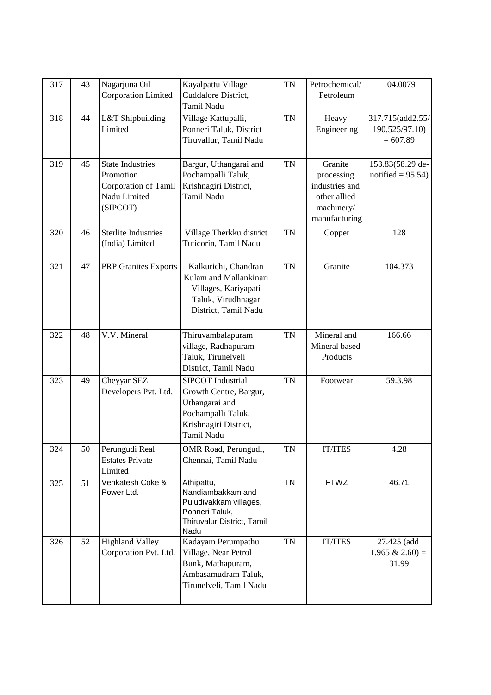| 317 | 43 | Nagarjuna Oil<br><b>Corporation Limited</b>                                              | Kayalpattu Village<br>Cuddalore District,<br>Tamil Nadu                                                                           | <b>TN</b>       | Petrochemical/<br>Petroleum                                                            | 104.0079                                         |
|-----|----|------------------------------------------------------------------------------------------|-----------------------------------------------------------------------------------------------------------------------------------|-----------------|----------------------------------------------------------------------------------------|--------------------------------------------------|
| 318 | 44 | L&T Shipbuilding<br>Limited                                                              | Village Kattupalli,<br>Ponneri Taluk, District<br>Tiruvallur, Tamil Nadu                                                          | <b>TN</b>       | Heavy<br>Engineering                                                                   | 317.715(add2.55/<br>190.525/97.10)<br>$= 607.89$ |
| 319 | 45 | <b>State Industries</b><br>Promotion<br>Corporation of Tamil<br>Nadu Limited<br>(SIPCOT) | Bargur, Uthangarai and<br>Pochampalli Taluk,<br>Krishnagiri District,<br>Tamil Nadu                                               | <b>TN</b>       | Granite<br>processing<br>industries and<br>other allied<br>machinery/<br>manufacturing | 153.83(58.29 de-<br>notified = $95.54$ )         |
| 320 | 46 | <b>Sterlite Industries</b><br>(India) Limited                                            | Village Therkku district<br>Tuticorin, Tamil Nadu                                                                                 | <b>TN</b>       | Copper                                                                                 | 128                                              |
| 321 | 47 | <b>PRP Granites Exports</b>                                                              | Kalkurichi, Chandran<br>Kulam and Mallankinari<br>Villages, Kariyapati<br>Taluk, Virudhnagar<br>District, Tamil Nadu              | <b>TN</b>       | Granite                                                                                | 104.373                                          |
| 322 | 48 | V.V. Mineral                                                                             | Thiruvambalapuram<br>village, Radhapuram<br>Taluk, Tirunelveli<br>District, Tamil Nadu                                            | <b>TN</b>       | Mineral and<br>Mineral based<br>Products                                               | 166.66                                           |
| 323 | 49 | Cheyyar SEZ<br>Developers Pvt. Ltd.                                                      | <b>SIPCOT</b> Industrial<br>Growth Centre, Bargur,<br>Uthangarai and<br>Pochampalli Taluk,<br>Krishnagiri District,<br>Tamil Nadu | <b>TN</b>       | Footwear                                                                               | 59.3.98                                          |
| 324 | 50 | Perungudi Real<br><b>Estates Private</b><br>Limited                                      | OMR Road, Perungudi,<br>Chennai, Tamil Nadu                                                                                       | ΙN              | <b>IT/ITES</b>                                                                         | 4.28                                             |
| 325 | 51 | Venkatesh Coke &<br>Power Ltd.                                                           | Athipattu,<br>Nandiambakkam and<br>Puludivakkam villages,<br>Ponneri Taluk,<br>Thiruvalur District, Tamil<br>Nadu                 | $\overline{T}N$ | <b>FTWZ</b>                                                                            | 46.71                                            |
| 326 | 52 | <b>Highland Valley</b><br>Corporation Pvt. Ltd.                                          | Kadayam Perumpathu<br>Village, Near Petrol<br>Bunk, Mathapuram,<br>Ambasamudram Taluk,<br>Tirunelveli, Tamil Nadu                 | <b>TN</b>       | <b>IT/ITES</b>                                                                         | 27.425 (add<br>$1.965 \& 2.60$ =<br>31.99        |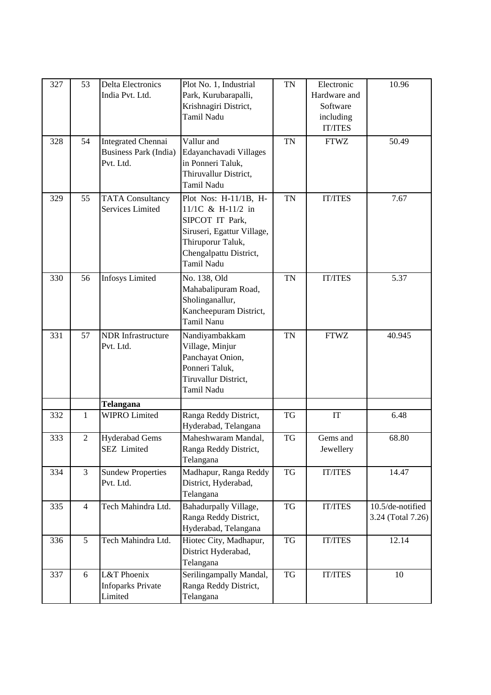| 327 | 53             | <b>Delta Electronics</b>                    | Plot No. 1, Industrial                                                                                        | <b>TN</b> | Electronic            | 10.96             |
|-----|----------------|---------------------------------------------|---------------------------------------------------------------------------------------------------------------|-----------|-----------------------|-------------------|
|     |                | India Pvt. Ltd.                             | Park, Kurubarapalli,                                                                                          |           | Hardware and          |                   |
|     |                |                                             | Krishnagiri District,                                                                                         |           | Software              |                   |
|     |                |                                             | Tamil Nadu                                                                                                    |           | including             |                   |
|     |                |                                             |                                                                                                               |           | <b>IT/ITES</b>        |                   |
| 328 | 54             | <b>Integrated Chennai</b>                   | Vallur and                                                                                                    | <b>TN</b> | <b>FTWZ</b>           | 50.49             |
|     |                | <b>Business Park (India)</b>                | Edayanchavadi Villages                                                                                        |           |                       |                   |
|     |                | Pvt. Ltd.                                   | in Ponneri Taluk,                                                                                             |           |                       |                   |
|     |                |                                             | Thiruvallur District,                                                                                         |           |                       |                   |
|     |                |                                             | Tamil Nadu                                                                                                    |           |                       |                   |
| 329 | 55             | <b>TATA Consultancy</b>                     | Plot Nos: H-11/1B, H-                                                                                         | <b>TN</b> | <b>IT/ITES</b>        | 7.67              |
|     |                | <b>Services Limited</b>                     | 11/1C & H-11/2 in                                                                                             |           |                       |                   |
|     |                |                                             | SIPCOT IT Park,                                                                                               |           |                       |                   |
|     |                |                                             | Siruseri, Egattur Village,                                                                                    |           |                       |                   |
|     |                |                                             | Thiruporur Taluk,                                                                                             |           |                       |                   |
|     |                |                                             | Chengalpattu District,                                                                                        |           |                       |                   |
|     |                |                                             | <b>Tamil Nadu</b>                                                                                             |           |                       |                   |
| 330 | 56             | <b>Infosys Limited</b>                      | No. 138, Old                                                                                                  | <b>TN</b> | <b>IT/ITES</b>        | 5.37              |
|     |                |                                             | Mahabalipuram Road,                                                                                           |           |                       |                   |
|     |                |                                             | Sholinganallur,                                                                                               |           |                       |                   |
|     |                |                                             | Kancheepuram District,                                                                                        |           |                       |                   |
|     |                |                                             | <b>Tamil Nanu</b>                                                                                             |           |                       |                   |
| 331 | 57             | <b>NDR</b> Infrastructure                   | Nandiyambakkam                                                                                                | <b>TN</b> | <b>FTWZ</b>           | 40.945            |
|     |                | Pvt. Ltd.                                   | Village, Minjur                                                                                               |           |                       |                   |
|     |                |                                             | Panchayat Onion,                                                                                              |           |                       |                   |
|     |                |                                             | Ponneri Taluk,                                                                                                |           |                       |                   |
|     |                |                                             | Tiruvallur District,                                                                                          |           |                       |                   |
|     |                |                                             | Tamil Nadu                                                                                                    |           |                       |                   |
|     |                | Telangana                                   |                                                                                                               |           |                       |                   |
| 332 | 1              | <b>WIPRO Limited</b>                        | Ranga Reddy District,                                                                                         | TG        | IT                    | 6.48              |
|     |                |                                             | Hyderabad, Telangana                                                                                          |           |                       |                   |
| 333 | $\overline{2}$ | <b>Hyderabad Gems</b><br><b>SEZ</b> Limited | Maheshwaram Mandal,                                                                                           | <b>TG</b> | Gems and<br>Jewellery | 68.80             |
|     |                |                                             | Ranga Reddy District,                                                                                         |           |                       |                   |
|     | $\overline{3}$ |                                             | Telangana                                                                                                     | <b>TG</b> |                       |                   |
| 334 |                | <b>Sundew Properties</b><br>Pvt. Ltd.       | Madhapur, Ranga Reddy<br>District, Hyderabad,                                                                 |           | <b>IT/ITES</b>        | 14.47             |
|     |                |                                             | Telangana                                                                                                     |           |                       |                   |
| 335 | $\overline{4}$ | Tech Mahindra Ltd.                          | Bahadurpally Village,                                                                                         | <b>TG</b> | <b>IT/ITES</b>        | 10.5/de-notified  |
|     |                |                                             | Ranga Reddy District,                                                                                         |           |                       | 3.24 (Total 7.26) |
|     |                |                                             |                                                                                                               |           |                       |                   |
|     |                |                                             |                                                                                                               |           |                       |                   |
|     |                |                                             |                                                                                                               |           |                       |                   |
|     |                |                                             |                                                                                                               |           |                       |                   |
| 337 | 6              | L&T Phoenix                                 |                                                                                                               | TG        | <b>IT/ITES</b>        | 10                |
|     |                | <b>Infoparks Private</b>                    | Ranga Reddy District,                                                                                         |           |                       |                   |
|     |                | Limited                                     | Telangana                                                                                                     |           |                       |                   |
| 336 | 5              | Tech Mahindra Ltd.                          | Hyderabad, Telangana<br>Hiotec City, Madhapur,<br>District Hyderabad,<br>Telangana<br>Serilingampally Mandal, | <b>TG</b> | <b>IT/ITES</b>        | 12.14             |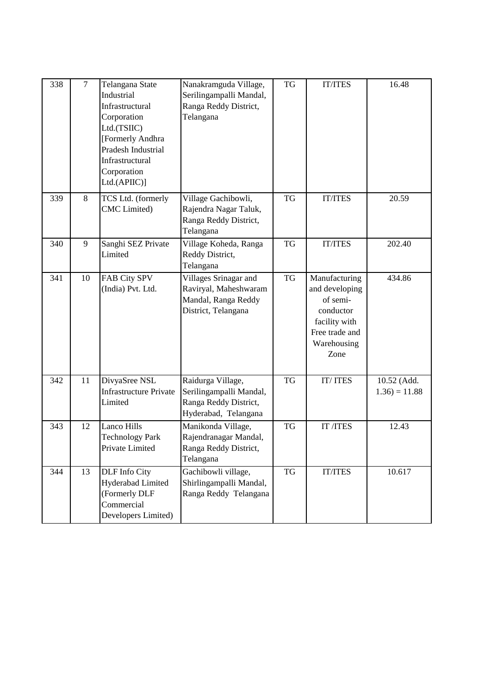| 338 | $\tau$ | Telangana State<br>Industrial<br>Infrastructural<br>Corporation<br>Ltd.(TSIIC)<br>[Formerly Andhra<br>Pradesh Industrial<br>Infrastructural<br>Corporation<br>Ltd.(APIIC)] | Nanakramguda Village,<br>Serilingampalli Mandal,<br>Ranga Reddy District,<br>Telangana        | <b>TG</b> | <b>IT/ITES</b>                                                                                                     | 16.48                         |
|-----|--------|----------------------------------------------------------------------------------------------------------------------------------------------------------------------------|-----------------------------------------------------------------------------------------------|-----------|--------------------------------------------------------------------------------------------------------------------|-------------------------------|
| 339 | 8      | TCS Ltd. (formerly<br>CMC Limited)                                                                                                                                         | Village Gachibowli,<br>Rajendra Nagar Taluk,<br>Ranga Reddy District,<br>Telangana            | <b>TG</b> | <b>IT/ITES</b>                                                                                                     | 20.59                         |
| 340 | 9      | Sanghi SEZ Private<br>Limited                                                                                                                                              | Village Koheda, Ranga<br>Reddy District,<br>Telangana                                         | TG        | <b>IT/ITES</b>                                                                                                     | 202.40                        |
| 341 | 10     | FAB City SPV<br>(India) Pvt. Ltd.                                                                                                                                          | Villages Srinagar and<br>Raviryal, Maheshwaram<br>Mandal, Ranga Reddy<br>District, Telangana  | <b>TG</b> | Manufacturing<br>and developing<br>of semi-<br>conductor<br>facility with<br>Free trade and<br>Warehousing<br>Zone | 434.86                        |
| 342 | 11     | DivyaSree NSL<br><b>Infrastructure Private</b><br>Limited                                                                                                                  | Raidurga Village,<br>Serilingampalli Mandal,<br>Ranga Reddy District,<br>Hyderabad, Telangana | TG        | IT/ITES                                                                                                            | 10.52 (Add.<br>$1.36 = 11.88$ |
| 343 | 12     | Lanco Hills<br><b>Technology Park</b><br>Private Limited                                                                                                                   | Manikonda Village,<br>Rajendranagar Mandal,<br>Ranga Reddy District,<br>Telangana             | <b>TG</b> | IT /ITES                                                                                                           | 12.43                         |
| 344 | 13     | DLF Info City<br>Hyderabad Limited<br>(Formerly DLF<br>Commercial<br>Developers Limited)                                                                                   | Gachibowli village,<br>Shirlingampalli Mandal,<br>Ranga Reddy Telangana                       | <b>TG</b> | <b>IT/ITES</b>                                                                                                     | 10.617                        |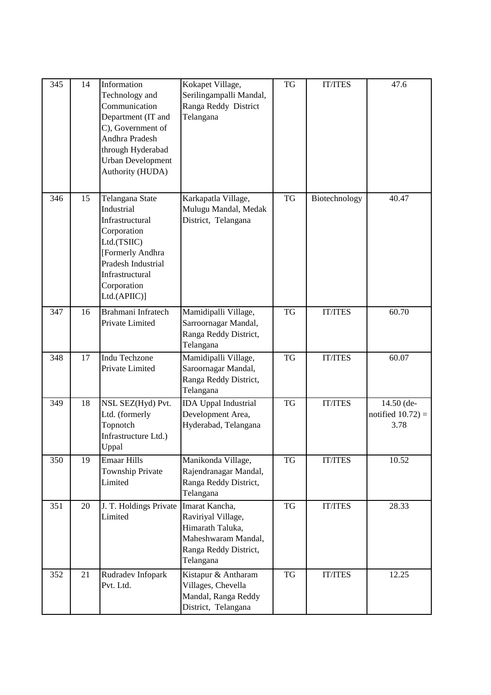| 345 | 14 | Information<br>Technology and<br>Communication<br>Department (IT and<br>C), Government of<br>Andhra Pradesh<br>through Hyderabad<br><b>Urban Development</b><br>Authority (HUDA) | Kokapet Village,<br>Serilingampalli Mandal,<br>Ranga Reddy District<br>Telangana                                      | <b>TG</b> | <b>IT/ITES</b> | 47.6                                     |
|-----|----|----------------------------------------------------------------------------------------------------------------------------------------------------------------------------------|-----------------------------------------------------------------------------------------------------------------------|-----------|----------------|------------------------------------------|
| 346 | 15 | Telangana State<br>Industrial<br>Infrastructural<br>Corporation<br>Ltd.(TSIIC)<br>[Formerly Andhra<br>Pradesh Industrial<br>Infrastructural<br>Corporation<br>Ltd.(APIIC)]       | Karkapatla Village,<br>Mulugu Mandal, Medak<br>District, Telangana                                                    | <b>TG</b> | Biotechnology  | 40.47                                    |
| 347 | 16 | Brahmani Infratech<br>Private Limited                                                                                                                                            | Mamidipalli Village,<br>Sarroornagar Mandal,<br>Ranga Reddy District,<br>Telangana                                    | <b>TG</b> | <b>IT/ITES</b> | 60.70                                    |
| 348 | 17 | <b>Indu Techzone</b><br>Private Limited                                                                                                                                          | Mamidipalli Village,<br>Saroornagar Mandal,<br>Ranga Reddy District,<br>Telangana                                     | <b>TG</b> | <b>IT/ITES</b> | 60.07                                    |
| 349 | 18 | NSL SEZ(Hyd) Pvt.<br>Ltd. (formerly<br>Topnotch<br>Infrastructure Ltd.)<br>Uppal                                                                                                 | <b>IDA Uppal Industrial</b><br>Development Area,<br>Hyderabad, Telangana                                              | <b>TG</b> | <b>IT/ITES</b> | 14.50 (de-<br>notified $10.72$ =<br>3.78 |
| 350 | 19 | <b>Emaar Hills</b><br><b>Township Private</b><br>Limited                                                                                                                         | Manikonda Village,<br>Rajendranagar Mandal,<br>Ranga Reddy District,<br>Telangana                                     | <b>TG</b> | <b>IT/ITES</b> | 10.52                                    |
| 351 | 20 | J. T. Holdings Private<br>Limited                                                                                                                                                | Imarat Kancha,<br>Raviriyal Village,<br>Himarath Taluka,<br>Maheshwaram Mandal,<br>Ranga Reddy District,<br>Telangana | <b>TG</b> | <b>IT/ITES</b> | 28.33                                    |
| 352 | 21 | Rudradev Infopark<br>Pvt. Ltd.                                                                                                                                                   | Kistapur & Antharam<br>Villages, Chevella<br>Mandal, Ranga Reddy<br>District, Telangana                               | <b>TG</b> | <b>IT/ITES</b> | 12.25                                    |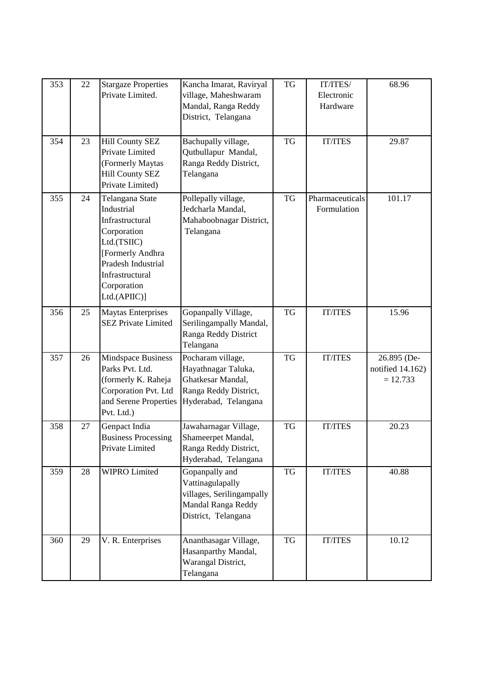| 353 | 22 | <b>Stargaze Properties</b><br>Private Limited.                                                                                                                             | Kancha Imarat, Raviryal<br>village, Maheshwaram<br>Mandal, Ranga Reddy<br>District, Telangana                  | <b>TG</b> | IT/ITES/<br>Electronic<br>Hardware | 68.96                                         |
|-----|----|----------------------------------------------------------------------------------------------------------------------------------------------------------------------------|----------------------------------------------------------------------------------------------------------------|-----------|------------------------------------|-----------------------------------------------|
| 354 | 23 | <b>Hill County SEZ</b><br>Private Limited<br>(Formerly Maytas<br><b>Hill County SEZ</b><br>Private Limited)                                                                | Bachupally village,<br>Qutbullapur Mandal,<br>Ranga Reddy District,<br>Telangana                               | <b>TG</b> | <b>IT/ITES</b>                     | 29.87                                         |
| 355 | 24 | Telangana State<br>Industrial<br>Infrastructural<br>Corporation<br>Ltd.(TSIIC)<br>[Formerly Andhra<br>Pradesh Industrial<br>Infrastructural<br>Corporation<br>Ltd.(APIIC)] | Pollepally village,<br>Jedcharla Mandal,<br>Mahaboobnagar District,<br>Telangana                               | <b>TG</b> | Pharmaceuticals<br>Formulation     | 101.17                                        |
| 356 | 25 | <b>Maytas Enterprises</b><br><b>SEZ Private Limited</b>                                                                                                                    | Gopanpally Village,<br>Serilingampally Mandal,<br>Ranga Reddy District<br>Telangana                            | <b>TG</b> | <b>IT/ITES</b>                     | 15.96                                         |
| 357 | 26 | <b>Mindspace Business</b><br>Parks Pvt. Ltd.<br>(formerly K. Raheja<br>Corporation Pvt. Ltd<br>and Serene Properties<br>Pvt. Ltd.)                                         | Pocharam village,<br>Hayathnagar Taluka,<br>Ghatkesar Mandal,<br>Ranga Reddy District,<br>Hyderabad, Telangana | <b>TG</b> | <b>IT/ITES</b>                     | 26.895 (De-<br>notified 14.162)<br>$= 12.733$ |
| 358 | 27 | Genpact India<br><b>Business Processing</b><br>Private Limited                                                                                                             | Jawaharnagar Village,<br>Shameerpet Mandal,<br>Ranga Reddy District,<br>Hyderabad, Telangana                   | <b>TG</b> | <b>IT/ITES</b>                     | 20.23                                         |
| 359 | 28 | <b>WIPRO Limited</b>                                                                                                                                                       | Gopanpally and<br>Vattinagulapally<br>villages, Serilingampally<br>Mandal Ranga Reddy<br>District, Telangana   | TG        | <b>IT/ITES</b>                     | 40.88                                         |
| 360 | 29 | V. R. Enterprises                                                                                                                                                          | Ananthasagar Village,<br>Hasanparthy Mandal,<br>Warangal District,<br>Telangana                                | <b>TG</b> | <b>IT/ITES</b>                     | 10.12                                         |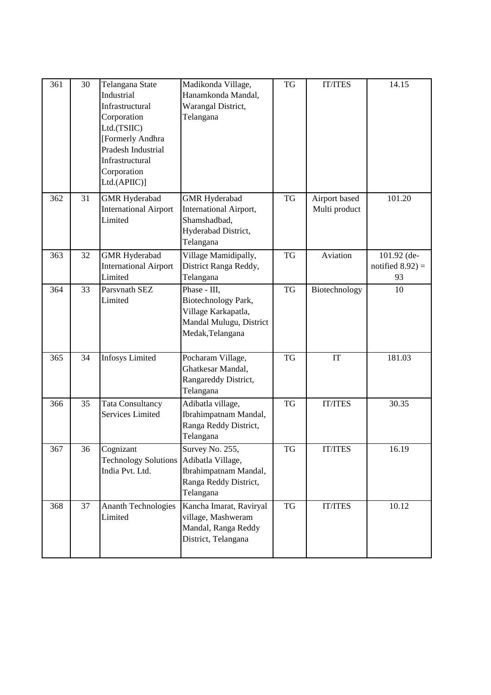| 361 | 30 | Telangana State<br>Industrial<br>Infrastructural<br>Corporation<br>Ltd.(TSIIC)<br>[Formerly Andhra<br>Pradesh Industrial<br>Infrastructural<br>Corporation<br>Ltd.(APIIC)] | Madikonda Village,<br>Hanamkonda Mandal,<br>Warangal District,<br>Telangana                               | TG        | <b>IT/ITES</b>                 | 14.15                                    |
|-----|----|----------------------------------------------------------------------------------------------------------------------------------------------------------------------------|-----------------------------------------------------------------------------------------------------------|-----------|--------------------------------|------------------------------------------|
| 362 | 31 | <b>GMR</b> Hyderabad<br><b>International Airport</b><br>Limited                                                                                                            | <b>GMR</b> Hyderabad<br>International Airport,<br>Shamshadbad,<br>Hyderabad District,<br>Telangana        | <b>TG</b> | Airport based<br>Multi product | 101.20                                   |
| 363 | 32 | <b>GMR</b> Hyderabad<br><b>International Airport</b><br>Limited                                                                                                            | Village Mamidipally,<br>District Ranga Reddy,<br>Telangana                                                | <b>TG</b> | Aviation                       | 101.92 (de-<br>notified $8.92$ ) =<br>93 |
| 364 | 33 | Parsvnath SEZ<br>Limited                                                                                                                                                   | Phase - III,<br>Biotechnology Park,<br>Village Karkapatla,<br>Mandal Mulugu, District<br>Medak, Telangana | <b>TG</b> | Biotechnology                  | 10                                       |
| 365 | 34 | <b>Infosys Limited</b>                                                                                                                                                     | Pocharam Village,<br>Ghatkesar Mandal,<br>Rangareddy District,<br>Telangana                               | <b>TG</b> | IT                             | 181.03                                   |
| 366 | 35 | <b>Tata Consultancy</b><br><b>Services Limited</b>                                                                                                                         | Adibatla village,<br>Ibrahimpatnam Mandal,<br>Ranga Reddy District,<br>Telangana                          | <b>TG</b> | <b>IT/ITES</b>                 | 30.35                                    |
| 367 | 36 | Cognizant<br><b>Technology Solutions</b><br>India Pvt. Ltd.                                                                                                                | Survey No. 255,<br>Adibatla Village,<br>Ibrahimpatnam Mandal,<br>Ranga Reddy District,<br>Telangana       | TG        | <b>IT/ITES</b>                 | 16.19                                    |
| 368 | 37 | Ananth Technologies<br>Limited                                                                                                                                             | Kancha Imarat, Raviryal<br>village, Mashweram<br>Mandal, Ranga Reddy<br>District, Telangana               | <b>TG</b> | <b>IT/ITES</b>                 | 10.12                                    |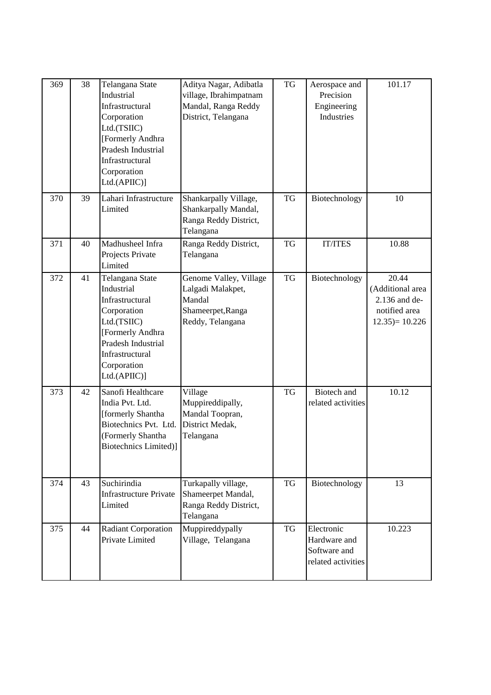| 369 | 38 | Telangana State<br>Industrial<br>Infrastructural<br>Corporation<br>Ltd.(TSIIC)<br>[Formerly Andhra<br>Pradesh Industrial<br>Infrastructural<br>Corporation<br>Ltd.(APIIC)] | Aditya Nagar, Adibatla<br>village, Ibrahimpatnam<br>Mandal, Ranga Reddy<br>District, Telangana | <b>TG</b> | Aerospace and<br>Precision<br>Engineering<br>Industries          | 101.17                                                                          |
|-----|----|----------------------------------------------------------------------------------------------------------------------------------------------------------------------------|------------------------------------------------------------------------------------------------|-----------|------------------------------------------------------------------|---------------------------------------------------------------------------------|
| 370 | 39 | Lahari Infrastructure<br>Limited                                                                                                                                           | Shankarpally Village,<br>Shankarpally Mandal,<br>Ranga Reddy District,<br>Telangana            | <b>TG</b> | Biotechnology                                                    | 10                                                                              |
| 371 | 40 | Madhusheel Infra<br>Projects Private<br>Limited                                                                                                                            | Ranga Reddy District,<br>Telangana                                                             | <b>TG</b> | <b>IT/ITES</b>                                                   | 10.88                                                                           |
| 372 | 41 | Telangana State<br>Industrial<br>Infrastructural<br>Corporation<br>Ltd.(TSIIC)<br>[Formerly Andhra<br>Pradesh Industrial<br>Infrastructural<br>Corporation<br>Ltd.(APIIC)] | Genome Valley, Village<br>Lalgadi Malakpet,<br>Mandal<br>Shameerpet, Ranga<br>Reddy, Telangana | <b>TG</b> | Biotechnology                                                    | 20.44<br>(Additional area<br>2.136 and de-<br>notified area<br>$12.35 = 10.226$ |
| 373 | 42 | Sanofi Healthcare<br>India Pvt. Ltd.<br>[formerly Shantha<br>Biotechnics Pvt. Ltd.<br>(Formerly Shantha<br>Biotechnics Limited)]                                           | Village<br>Muppireddipally,<br>Mandal Toopran,<br>District Medak,<br>Telangana                 | <b>TG</b> | <b>Biotech</b> and<br>related activities                         | 10.12                                                                           |
| 374 | 43 | Suchirindia<br><b>Infrastructure Private</b><br>Limited                                                                                                                    | Turkapally village,<br>Shameerpet Mandal,<br>Ranga Reddy District,<br>Telangana                | <b>TG</b> | Biotechnology                                                    | 13                                                                              |
| 375 | 44 | Radiant Corporation<br>Private Limited                                                                                                                                     | Muppireddypally<br>Village, Telangana                                                          | <b>TG</b> | Electronic<br>Hardware and<br>Software and<br>related activities | 10.223                                                                          |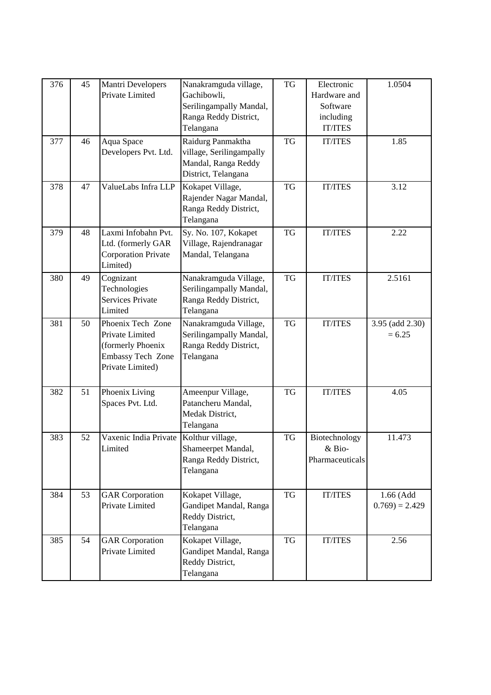| 376 | 45 | Mantri Developers<br>Private Limited                                                               | Nanakramguda village,<br>Gachibowli,<br>Serilingampally Mandal,<br>Ranga Reddy District,<br>Telangana | TG        | Electronic<br>Hardware and<br>Software<br>including<br><b>IT/ITES</b> | 1.0504                         |
|-----|----|----------------------------------------------------------------------------------------------------|-------------------------------------------------------------------------------------------------------|-----------|-----------------------------------------------------------------------|--------------------------------|
| 377 | 46 | Aqua Space<br>Developers Pvt. Ltd.                                                                 | Raidurg Panmaktha<br>village, Serilingampally<br>Mandal, Ranga Reddy<br>District, Telangana           | <b>TG</b> | <b>IT/ITES</b>                                                        | 1.85                           |
| 378 | 47 | ValueLabs Infra LLP                                                                                | Kokapet Village,<br>Rajender Nagar Mandal,<br>Ranga Reddy District,<br>Telangana                      | <b>TG</b> | <b>IT/ITES</b>                                                        | 3.12                           |
| 379 | 48 | Laxmi Infobahn Pvt.<br>Ltd. (formerly GAR<br><b>Corporation Private</b><br>Limited)                | Sy. No. 107, Kokapet<br>Village, Rajendranagar<br>Mandal, Telangana                                   | <b>TG</b> | <b>IT/ITES</b>                                                        | 2.22                           |
| 380 | 49 | Cognizant<br>Technologies<br><b>Services Private</b><br>Limited                                    | Nanakramguda Village,<br>Serilingampally Mandal,<br>Ranga Reddy District,<br>Telangana                | <b>TG</b> | <b>IT/ITES</b>                                                        | 2.5161                         |
| 381 | 50 | Phoenix Tech Zone<br>Private Limited<br>(formerly Phoenix<br>Embassy Tech Zone<br>Private Limited) | Nanakramguda Village,<br>Serilingampally Mandal,<br>Ranga Reddy District,<br>Telangana                | TG        | <b>IT/ITES</b>                                                        | 3.95 (add 2.30)<br>$= 6.25$    |
| 382 | 51 | Phoenix Living<br>Spaces Pvt. Ltd.                                                                 | Ameenpur Village,<br>Patancheru Mandal,<br>Medak District,<br>Telangana                               | <b>TG</b> | <b>IT/ITES</b>                                                        | 4.05                           |
| 383 | 52 | Vaxenic India Private<br>Limited                                                                   | Kolthur village,<br>Shameerpet Mandal,<br>Ranga Reddy District,<br>Telangana                          | <b>TG</b> | Biotechnology<br>& Bio-<br>Pharmaceuticals                            | 11.473                         |
| 384 | 53 | <b>GAR</b> Corporation<br>Private Limited                                                          | Kokapet Village,<br>Gandipet Mandal, Ranga<br>Reddy District,<br>Telangana                            | TG        | <b>IT/ITES</b>                                                        | 1.66 (Add<br>$0.769$ ) = 2.429 |
| 385 | 54 | <b>GAR</b> Corporation<br>Private Limited                                                          | Kokapet Village,<br>Gandipet Mandal, Ranga<br>Reddy District,<br>Telangana                            | <b>TG</b> | <b>IT/ITES</b>                                                        | 2.56                           |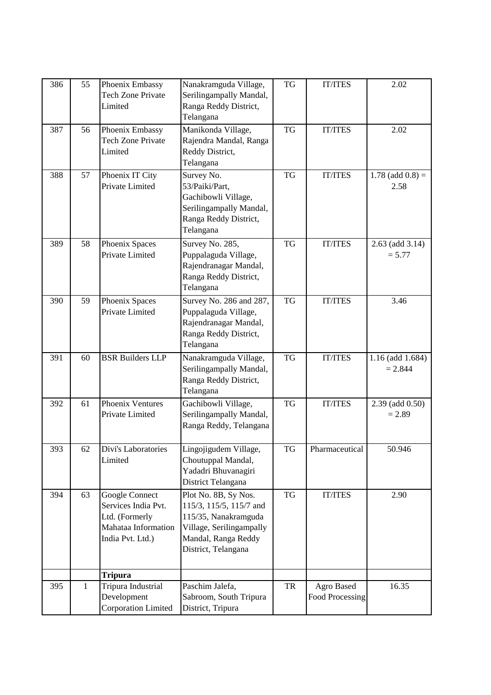| 386 | 55           | Phoenix Embassy<br><b>Tech Zone Private</b>                                                               | Nanakramguda Village,<br>Serilingampally Mandal,                                                                                                  | TG        | <b>IT/ITES</b>                | 2.02                          |
|-----|--------------|-----------------------------------------------------------------------------------------------------------|---------------------------------------------------------------------------------------------------------------------------------------------------|-----------|-------------------------------|-------------------------------|
|     |              | Limited                                                                                                   | Ranga Reddy District,<br>Telangana                                                                                                                |           |                               |                               |
| 387 | 56           | Phoenix Embassy<br><b>Tech Zone Private</b><br>Limited                                                    | Manikonda Village,<br>Rajendra Mandal, Ranga<br>Reddy District,<br>Telangana                                                                      | <b>TG</b> | <b>IT/ITES</b>                | 2.02                          |
| 388 | 57           | Phoenix IT City<br>Private Limited                                                                        | Survey No.<br>53/Paiki/Part,<br>Gachibowli Village,<br>Serilingampally Mandal,<br>Ranga Reddy District,<br>Telangana                              | <b>TG</b> | <b>IT/ITES</b>                | 1.78 (add $0.8$ ) =<br>2.58   |
| 389 | 58           | Phoenix Spaces<br>Private Limited                                                                         | Survey No. 285,<br>Puppalaguda Village,<br>Rajendranagar Mandal,<br>Ranga Reddy District,<br>Telangana                                            | <b>TG</b> | <b>IT/ITES</b>                | 2.63 (add 3.14)<br>$= 5.77$   |
| 390 | 59           | Phoenix Spaces<br>Private Limited                                                                         | Survey No. 286 and 287,<br>Puppalaguda Village,<br>Rajendranagar Mandal,<br>Ranga Reddy District,<br>Telangana                                    | <b>TG</b> | <b>IT/ITES</b>                | 3.46                          |
| 391 | 60           | <b>BSR Builders LLP</b>                                                                                   | Nanakramguda Village,<br>Serilingampally Mandal,<br>Ranga Reddy District,<br>Telangana                                                            | <b>TG</b> | <b>IT/ITES</b>                | 1.16 (add 1.684)<br>$= 2.844$ |
| 392 | 61           | <b>Phoenix Ventures</b><br>Private Limited                                                                | Gachibowli Village,<br>Serilingampally Mandal,<br>Ranga Reddy, Telangana                                                                          | <b>TG</b> | <b>IT/ITES</b>                | 2.39 (add 0.50)<br>$= 2.89$   |
| 393 | 62           | Divi's Laboratories<br>Limited                                                                            | Lingojigudem Village,<br>Choutuppal Mandal,<br>Yadadri Bhuvanagiri<br>District Telangana                                                          | ГĠ        | Pharmaceutical                | 50.946                        |
| 394 | 63           | <b>Google Connect</b><br>Services India Pvt.<br>Ltd. (Formerly<br>Mahataa Information<br>India Pvt. Ltd.) | Plot No. 8B, Sy Nos.<br>115/3, 115/5, 115/7 and<br>115/35, Nanakramguda<br>Village, Serilingampally<br>Mandal, Ranga Reddy<br>District, Telangana | TG        | <b>IT/ITES</b>                | 2.90                          |
|     |              | Tripura                                                                                                   |                                                                                                                                                   |           |                               |                               |
| 395 | $\mathbf{1}$ | Tripura Industrial<br>Development<br><b>Corporation Limited</b>                                           | Paschim Jalefa,<br>Sabroom, South Tripura<br>District, Tripura                                                                                    | TR        | Agro Based<br>Food Processing | 16.35                         |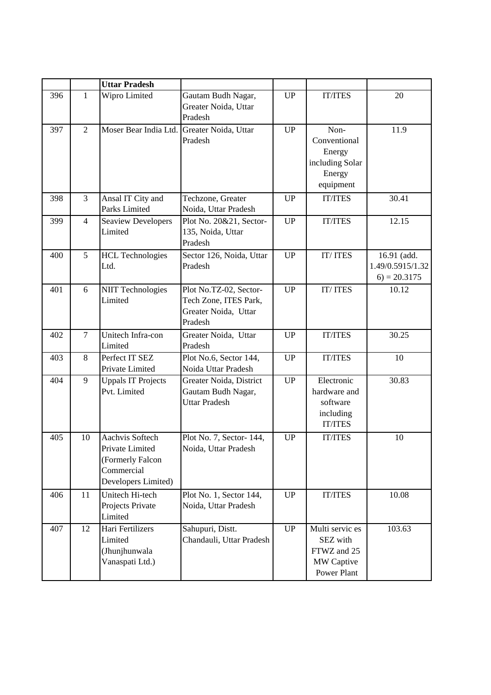|     |                | <b>Uttar Pradesh</b>                                                                        |                                                                                    |                        |                                                                          |                                                   |
|-----|----------------|---------------------------------------------------------------------------------------------|------------------------------------------------------------------------------------|------------------------|--------------------------------------------------------------------------|---------------------------------------------------|
| 396 | $\mathbf{1}$   | Wipro Limited                                                                               | Gautam Budh Nagar,<br>Greater Noida, Uttar<br>Pradesh                              | <b>UP</b>              | <b>IT/ITES</b>                                                           | 20                                                |
| 397 | $\overline{2}$ | Moser Bear India Ltd.                                                                       | Greater Noida, Uttar<br>Pradesh                                                    | UP                     | Non-<br>Conventional<br>Energy<br>including Solar<br>Energy<br>equipment | 11.9                                              |
| 398 | 3              | Ansal IT City and<br>Parks Limited                                                          | Techzone, Greater<br>Noida, Uttar Pradesh                                          | <b>UP</b>              | <b>IT/ITES</b>                                                           | 30.41                                             |
| 399 | $\overline{4}$ | <b>Seaview Developers</b><br>Limited                                                        | Plot No. 20&21, Sector-<br>135, Noida, Uttar<br>Pradesh                            | UP                     | <b>IT/ITES</b>                                                           | 12.15                                             |
| 400 | 5              | <b>HCL Technologies</b><br>Ltd.                                                             | Sector 126, Noida, Uttar<br>Pradesh                                                | <b>UP</b>              | IT/ITES                                                                  | 16.91 (add.<br>1.49/0.5915/1.32<br>$6) = 20.3175$ |
| 401 | 6              | <b>NIIT Technologies</b><br>Limited                                                         | Plot No.TZ-02, Sector-<br>Tech Zone, ITES Park,<br>Greater Noida, Uttar<br>Pradesh | <b>UP</b>              | IT/ITES                                                                  | 10.12                                             |
| 402 | $\overline{7}$ | Unitech Infra-con<br>Limited                                                                | Greater Noida, Uttar<br>Pradesh                                                    | <b>UP</b>              | <b>IT/ITES</b>                                                           | 30.25                                             |
| 403 | 8              | Perfect IT SEZ<br>Private Limited                                                           | Plot No.6, Sector 144,<br>Noida Uttar Pradesh                                      | <b>UP</b>              | <b>IT/ITES</b>                                                           | 10                                                |
| 404 | 9              | <b>Uppals IT Projects</b><br>Pvt. Limited                                                   | Greater Noida, District<br>Gautam Budh Nagar,<br><b>Uttar Pradesh</b>              | UP                     | Electronic<br>hardware and<br>software<br>including<br><b>IT/ITES</b>    | 30.83                                             |
| 405 | 10             | Aachvis Softech<br>Private Limited<br>(Formerly Falcon<br>Commercial<br>Developers Limited) | Plot No. 7, Sector-144,<br>Noida, Uttar Pradesh                                    | <b>UP</b>              | <b>IT/ITES</b>                                                           | 10                                                |
| 406 | 11             | Unitech Hi-tech<br>Projects Private<br>Limited                                              | Plot No. 1, Sector 144,<br>Noida, Uttar Pradesh                                    | $\mathbf{U}\mathbf{P}$ | <b>IT/ITES</b>                                                           | 10.08                                             |
| 407 | 12             | Hari Fertilizers<br>Limited<br>(Jhunjhunwala<br>Vanaspati Ltd.)                             | Sahupuri, Distt.<br>Chandauli, Uttar Pradesh                                       | <b>UP</b>              | Multi servic es<br>SEZ with<br>FTWZ and 25<br>MW Captive<br>Power Plant  | 103.63                                            |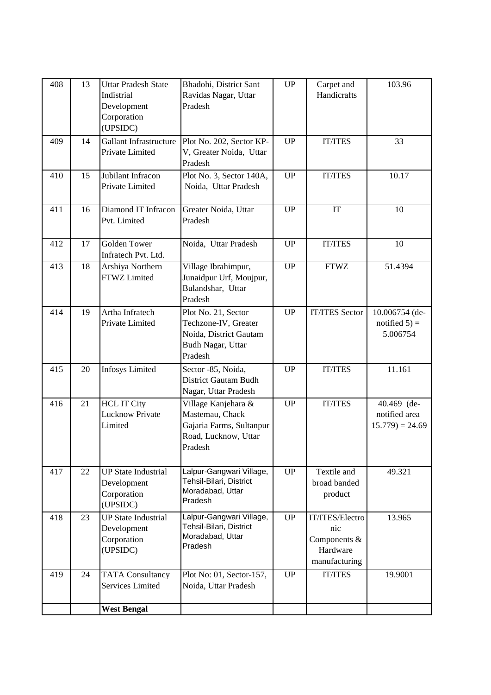| 408 | 13 | <b>Uttar Pradesh State</b><br>Indistrial<br>Development<br>Corporation<br>(UPSIDC) | Bhadohi, District Sant<br>Ravidas Nagar, Uttar<br>Pradesh                                             | <b>UP</b> | Carpet and<br>Handicrafts                                           | 103.96                                           |
|-----|----|------------------------------------------------------------------------------------|-------------------------------------------------------------------------------------------------------|-----------|---------------------------------------------------------------------|--------------------------------------------------|
| 409 | 14 | <b>Gallant Infrastructure</b><br>Private Limited                                   | Plot No. 202, Sector KP-<br>V, Greater Noida, Uttar<br>Pradesh                                        | <b>UP</b> | <b>IT/ITES</b>                                                      | 33                                               |
| 410 | 15 | Jubilant Infracon<br>Private Limited                                               | Plot No. 3, Sector 140A,<br>Noida, Uttar Pradesh                                                      | UP        | <b>IT/ITES</b>                                                      | 10.17                                            |
| 411 | 16 | Diamond IT Infracon<br>Pvt. Limited                                                | Greater Noida, Uttar<br>Pradesh                                                                       | <b>UP</b> | IT                                                                  | 10                                               |
| 412 | 17 | <b>Golden Tower</b><br>Infratech Pvt. Ltd.                                         | Noida, Uttar Pradesh                                                                                  | <b>UP</b> | <b>IT/ITES</b>                                                      | 10                                               |
| 413 | 18 | Arshiya Northern<br><b>FTWZ</b> Limited                                            | Village Ibrahimpur,<br>Junaidpur Urf, Moujpur,<br>Bulandshar, Uttar<br>Pradesh                        | <b>UP</b> | <b>FTWZ</b>                                                         | 51.4394                                          |
| 414 | 19 | Artha Infratech<br>Private Limited                                                 | Plot No. 21, Sector<br>Techzone-IV, Greater<br>Noida, District Gautam<br>Budh Nagar, Uttar<br>Pradesh | <b>UP</b> | <b>IT/ITES Sector</b>                                               | 10.006754 (de-<br>notified $5$ =<br>5.006754     |
| 415 | 20 | <b>Infosys Limited</b>                                                             | Sector -85, Noida,<br><b>District Gautam Budh</b><br>Nagar, Uttar Pradesh                             | <b>UP</b> | <b>IT/ITES</b>                                                      | 11.161                                           |
| 416 | 21 | <b>HCL IT City</b><br><b>Lucknow Private</b><br>Limited                            | Village Kanjehara &<br>Mastemau, Chack<br>Gajaria Farms, Sultanpur<br>Road, Lucknow, Uttar<br>Pradesh | <b>UP</b> | <b>IT/ITES</b>                                                      | 40.469 (de-<br>notified area<br>$15.779 = 24.69$ |
| 417 | 22 | <b>UP State Industrial</b><br>Development<br>Corporation<br>(UPSIDC)               | Lalpur-Gangwari Village,<br>Tehsil-Bilari, District<br>Moradabad, Uttar<br>Pradesh                    | UP        | Textile and<br>broad banded<br>product                              | 49.321                                           |
| 418 | 23 | <b>UP State Industrial</b><br>Development<br>Corporation<br>(UPSIDC)               | Lalpur-Gangwari Village,<br>Tehsil-Bilari, District<br>Moradabad, Uttar<br>Pradesh                    | <b>UP</b> | IT/ITES/Electro<br>nic<br>Components &<br>Hardware<br>manufacturing | 13.965                                           |
| 419 | 24 | <b>TATA Consultancy</b><br><b>Services Limited</b>                                 | Plot No: 01, Sector-157,<br>Noida, Uttar Pradesh                                                      | <b>UP</b> | <b>IT/ITES</b>                                                      | 19.9001                                          |
|     |    | <b>West Bengal</b>                                                                 |                                                                                                       |           |                                                                     |                                                  |